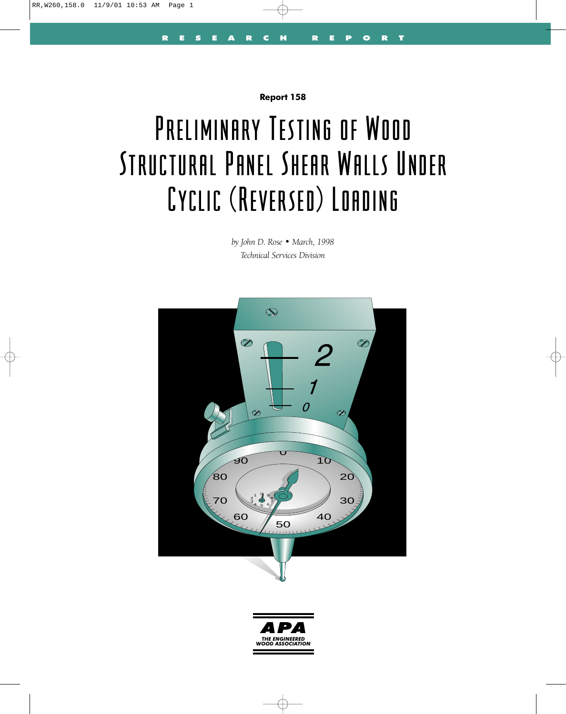**Report 158**

# Preliminary Testing of Wood Structural Panel Shear Walls Under **Cyclic (Reversed) Loading**

*by John D. Rose • March, 1998 Technical Services Division*



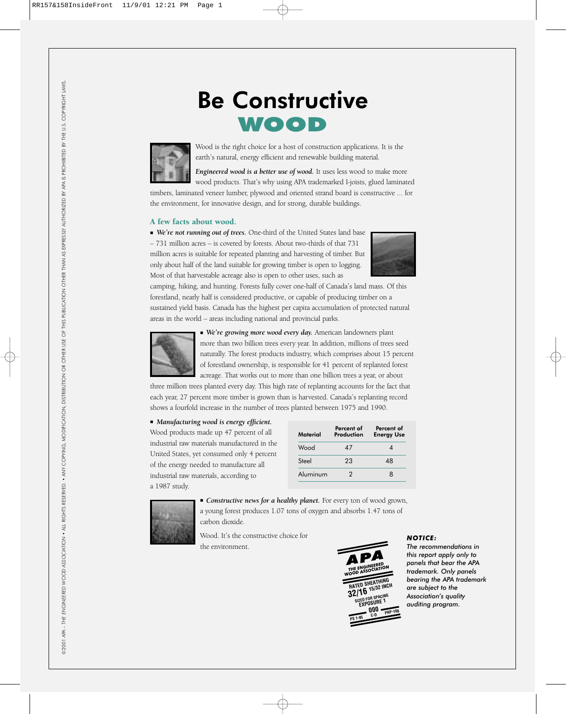# Be Constructive WOOD



Wood is the right choice for a host of construction applications. It is the earth's natural, energy efficient and renewable building material.

*Engineered wood is a better use of wood.* It uses less wood to make more wood products. That's why using APA trademarked I-joists, glued laminated

timbers, laminated veneer lumber, plywood and oriented strand board is constructive ... for the environment, for innovative design, and for strong, durable buildings.

#### A few facts about wood.

■ *We're not running out of trees.* One-third of the United States land base – 731 million acres – is covered by forests. About two-thirds of that 731 million acres is suitable for repeated planting and harvesting of timber. But only about half of the land suitable for growing timber is open to logging. Most of that harvestable acreage also is open to other uses, such as



camping, hiking, and hunting. Forests fully cover one-half of Canada's land mass. Of this forestland, nearly half is considered productive, or capable of producing timber on a sustained yield basis. Canada has the highest per capita accumulation of protected natural areas in the world – areas including national and provincial parks.



■ *We're growing more wood every day.* American landowners plant more than two billion trees every year. In addition, millions of trees seed naturally. The forest products industry, which comprises about 15 percent of forestland ownership, is responsible for 41 percent of replanted forest acreage. That works out to more than one billion trees a year, or about

three million trees planted every day. This high rate of replanting accounts for the fact that each year, 27 percent more timber is grown than is harvested. Canada's replanting record shows a fourfold increase in the number of trees planted between 1975 and 1990.

#### ■ *Manufacturing wood is energy efficient.*

Wood products made up 47 percent of all industrial raw materials manufactured in the United States, yet consumed only 4 percent of the energy needed to manufacture all industrial raw materials, according to a 1987 study.

| Material | Percent of<br>Production | Percent of<br><b>Energy Use</b> |
|----------|--------------------------|---------------------------------|
| Wood     | 47                       |                                 |
| Steel    | 23                       | 48                              |
| Aluminum | 2                        | я                               |



■ *Constructive news for a healthy planet*. For every ton of wood grown, a young forest produces 1.07 tons of oxygen and absorbs 1.47 tons of carbon dioxide.

Wood. It's the constructive choice for the environment.



# *NOTICE:*

*The recommendations in this report apply only to panels that bear the APA trademark. Only panels bearing the APA trademark are subject to the Association's quality auditing program.*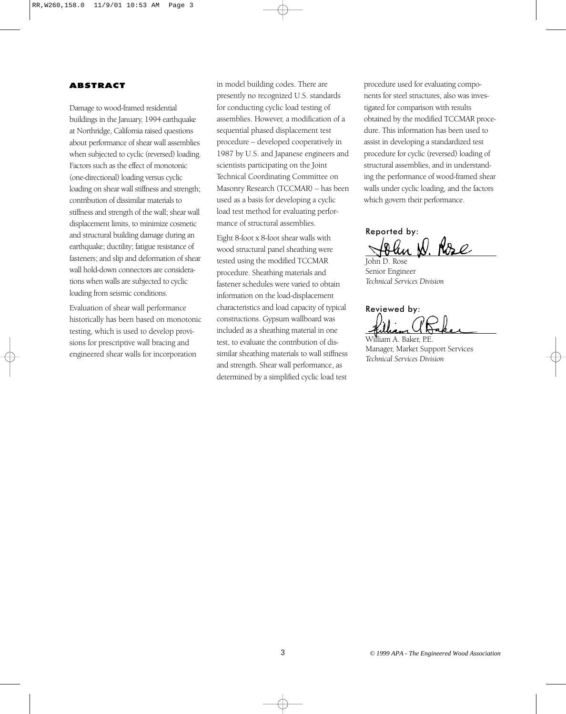# ABSTRACT

Damage to wood-framed residential buildings in the January, 1994 earthquake at Northridge, California raised questions about performance of shear wall assemblies when subjected to cyclic (reversed) loading. Factors such as the effect of monotonic (one-directional) loading versus cyclic loading on shear wall stiffness and strength; contribution of dissimilar materials to stiffness and strength of the wall; shear wall displacement limits, to minimize cosmetic and structural building damage during an earthquake; ductility; fatigue resistance of fasteners; and slip and deformation of shear wall hold-down connectors are considerations when walls are subjected to cyclic loading from seismic conditions.

Evaluation of shear wall performance historically has been based on monotonic testing, which is used to develop provisions for prescriptive wall bracing and engineered shear walls for incorporation

in model building codes. There are presently no recognized U.S. standards for conducting cyclic load testing of assemblies. However, a modification of a sequential phased displacement test procedure – developed cooperatively in 1987 by U.S. and Japanese engineers and scientists participating on the Joint Technical Coordinating Committee on Masonry Research (TCCMAR) – has been used as a basis for developing a cyclic load test method for evaluating performance of structural assemblies.

Eight 8-foot x 8-foot shear walls with wood structural panel sheathing were tested using the modified TCCMAR procedure. Sheathing materials and fastener schedules were varied to obtain information on the load-displacement characteristics and load capacity of typical constructions. Gypsum wallboard was included as a sheathing material in one test, to evaluate the contribution of dissimilar sheathing materials to wall stiffness and strength. Shear wall performance, as determined by a simplified cyclic load test

procedure used for evaluating components for steel structures, also was investigated for comparison with results obtained by the modified TCCMAR procedure. This information has been used to assist in developing a standardized test procedure for cyclic (reversed) loading of structural assemblies, and in understanding the performance of wood-framed shear walls under cyclic loading, and the factors which govern their performance.

Reported by: Rose

John D. Rose Senior Engineer *Technical Services Division*

Reviewed by: William A. Baker, P.E.

Manager, Market Support Services *Technical Services Division*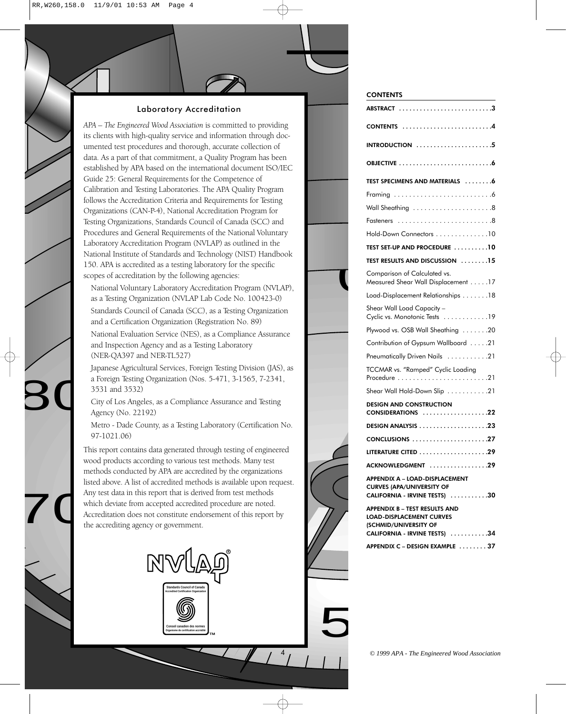# Laboratory Accreditation

*APA – The Engineered Wood Association* is committed to providing its clients with high-quality service and information through documented test procedures and thorough, accurate collection of data. As a part of that commitment, a Quality Program has been established by APA based on the international document ISO/IEC Guide 25: General Requirements for the Competence of Calibration and Testing Laboratories. The APA Quality Program follows the Accreditation Criteria and Requirements for Testing Organizations (CAN-P-4), National Accreditation Program for Testing Organizations, Standards Council of Canada (SCC) and Procedures and General Requirements of the National Voluntary Laboratory Accreditation Program (NVLAP) as outlined in the National Institute of Standards and Technology (NIST) Handbook 150. APA is accredited as a testing laboratory for the specific scopes of accreditation by the following agencies:

National Voluntary Laboratory Accreditation Program (NVLAP), as a Testing Organization (NVLAP Lab Code No. 100423-0)<br>Standards Council of Canada (SCC), as a Testing Organization<br>and a Certification Organization (Registrati as a Testing Organization (NVLAP Lab Code No. 100423-0)

Standards Council of Canada (SCC), as a Testing Organization and a Certification Organization (Registration No. 89)

National Evaluation Service (NES), as a Compliance Assurance and Inspection Agency and as a Testing Laboratory (NER-QA397 and NER-TL527)

Japanese Agricultural Services, Foreign Testing Division (JAS), as a Foreign Testing Organization (Nos. 5-471, 3-1565, 7-2341, 3531 and 3532)

City of Los Angeles, as a Compliance Assurance and Testing Agency (No. 22192)

 $\overline{\mathsf{B}}$ 

Metro - Dade County, as a Testing Laboratory (Certification No. 97-1021.06)

 $\sum_{\substack{A \\ a \\ b}}$ methods conducted by APA are accredited by the organizations<br>listed above. A list of accredited methods is available upon requ have above. A list of accredited firemods is available upon to<br>Any test data in this report that is derived from test methods<br>which deviate from accepted accredited procedure are noted ted <sub>I</sub><br>dors<br>. 8 7 6 4 Accreditation does not constitute endorsement of this report by a by the organizations<br>is available upon reques<br>from test methods This report contains data generated through testing of engineered wood products according to various test methods. Many test listed above. A list of accredited methods is available upon request. which deviate from accepted accredited procedure are noted. the accrediting agency or government.



#### **CONTENTS**

| ABSTRACT 3                                                                                                                        |
|-----------------------------------------------------------------------------------------------------------------------------------|
| CONTENTS                                                                                                                          |
| $INTRODUCTION$ 5                                                                                                                  |
|                                                                                                                                   |
| TEST SPECIMENS AND MATERIALS 6                                                                                                    |
|                                                                                                                                   |
| Wall Sheathing 8                                                                                                                  |
| Fasteners                                                                                                                         |
| Hold-Down Connectors 10                                                                                                           |
| TEST SET-UP AND PROCEDURE 10                                                                                                      |
| <b>TEST RESULTS AND DISCUSSION</b> 15                                                                                             |
| Comparison of Calculated vs.<br>Measured Shear Wall Displacement 17                                                               |
| Load-Displacement Relationships 18                                                                                                |
| Shear Wall Load Capacity –<br>Cyclic vs. Monotonic Tests 19                                                                       |
| Plywood vs. OSB Wall Sheathing 20                                                                                                 |
| Contribution of Gypsum Wallboard 21                                                                                               |
| Pneumatically Driven Nails 21                                                                                                     |
| TCCMAR vs. "Ramped" Cyclic Loading<br>Procedure 21                                                                                |
| Shear Wall Hold-Down Slip 21                                                                                                      |
| <b>DESIGN AND CONSTRUCTION</b><br>$CONSIDERATIONS$ 22                                                                             |
| DESIGN ANALYSIS 23                                                                                                                |
|                                                                                                                                   |
|                                                                                                                                   |
| ACKNOWLEDGMENT 29                                                                                                                 |
| APPENDIX A - LOAD-DISPLACEMENT<br><b>CURVES (APA/UNIVERSITY OF</b><br>CALIFORNIA - IRVINE TESTS) 30                               |
| <b>APPENDIX B - TEST RESULTS AND</b><br><b>LOAD-DISPLACEMENT CURVES</b><br>(SCHMID/UNIVERSITY OF<br>CALIFORNIA - IRVINE TESTS) 34 |
| APPENDIX C - DESIGN EXAMPLE 37                                                                                                    |

5

4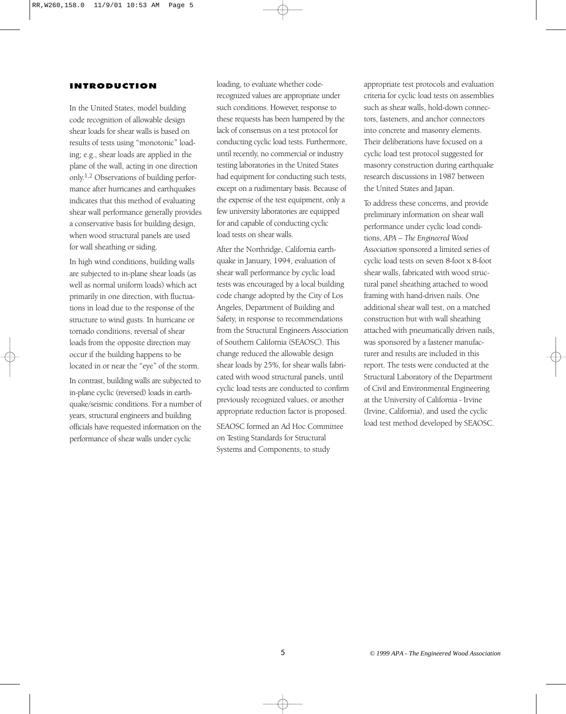#### INTRODUCTION

In the United States, model building code recognition of allowable design shear loads for shear walls is based on results of tests using "monotonic" loading; e.g., shear loads are applied in the plane of the wall, acting in one direction only.1,2 Observations of building performance after hurricanes and earthquakes indicates that this method of evaluating shear wall performance generally provides a conservative basis for building design, when wood structural panels are used for wall sheathing or siding.

In high wind conditions, building walls are subjected to in-plane shear loads (as well as normal uniform loads) which act primarily in one direction, with fluctuations in load due to the response of the structure to wind gusts. In hurricane or tornado conditions, reversal of shear loads from the opposite direction may occur if the building happens to be located in or near the "eye" of the storm.

In contrast, building walls are subjected to in-plane cyclic (reversed) loads in earthquake/seismic conditions. For a number of years, structural engineers and building officials have requested information on the performance of shear walls under cyclic

loading, to evaluate whether coderecognized values are appropriate under such conditions. However, response to these requests has been hampered by the lack of consensus on a test protocol for conducting cyclic load tests. Furthermore, until recently, no commercial or industry testing laboratories in the United States had equipment for conducting such tests, except on a rudimentary basis. Because of the expense of the test equipment, only a few university laboratories are equipped for and capable of conducting cyclic load tests on shear walls.

After the Northridge, California earthquake in January, 1994, evaluation of shear wall performance by cyclic load tests was encouraged by a local building code change adopted by the City of Los Angeles, Department of Building and Safety, in response to recommendations from the Structural Engineers Association of Southern California (SEAOSC). This change reduced the allowable design shear loads by 25%, for shear walls fabricated with wood structural panels, until cyclic load tests are conducted to confirm previously recognized values, or another appropriate reduction factor is proposed.

SEAOSC formed an Ad Hoc Committee on Testing Standards for Structural Systems and Components, to study

appropriate test protocols and evaluation criteria for cyclic load tests on assemblies such as shear walls, hold-down connectors, fasteners, and anchor connectors into concrete and masonry elements. Their deliberations have focused on a cyclic load test protocol suggested for masonry construction during earthquake research discussions in 1987 between the United States and Japan.

To address these concerns, and provide preliminary information on shear wall performance under cyclic load conditions, *APA – The Engineered Wood Association* sponsored a limited series of cyclic load tests on seven 8-foot x 8-foot shear walls, fabricated with wood structural panel sheathing attached to wood framing with hand-driven nails. One additional shear wall test, on a matched construction but with wall sheathing attached with pneumatically driven nails, was sponsored by a fastener manufacturer and results are included in this report. The tests were conducted at the Structural Laboratory of the Department of Civil and Environmental Engineering at the University of California - Irvine (Irvine, California), and used the cyclic load test method developed by SEAOSC.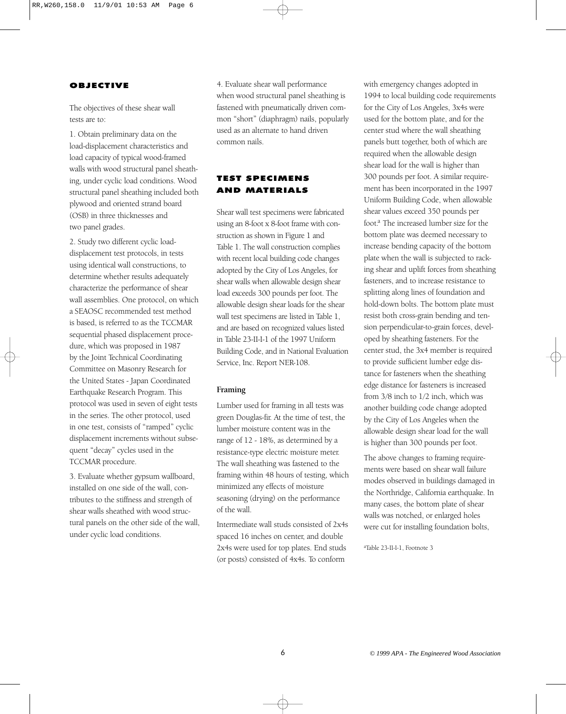# OBJECTIVE

The objectives of these shear wall tests are to:

1. Obtain preliminary data on the load-displacement characteristics and load capacity of typical wood-framed walls with wood structural panel sheathing, under cyclic load conditions. Wood structural panel sheathing included both plywood and oriented strand board (OSB) in three thicknesses and two panel grades.

2. Study two different cyclic loaddisplacement test protocols, in tests using identical wall constructions, to determine whether results adequately characterize the performance of shear wall assemblies. One protocol, on which a SEAOSC recommended test method is based, is referred to as the TCCMAR sequential phased displacement procedure, which was proposed in 1987 by the Joint Technical Coordinating Committee on Masonry Research for the United States - Japan Coordinated Earthquake Research Program. This protocol was used in seven of eight tests in the series. The other protocol, used in one test, consists of "ramped" cyclic displacement increments without subsequent "decay" cycles used in the TCCMAR procedure.

3. Evaluate whether gypsum wallboard, installed on one side of the wall, contributes to the stiffness and strength of shear walls sheathed with wood structural panels on the other side of the wall, under cyclic load conditions.

4. Evaluate shear wall performance when wood structural panel sheathing is fastened with pneumatically driven common "short" (diaphragm) nails, popularly used as an alternate to hand driven common nails.

# TEST SPECIMENS AND MATERIALS

Shear wall test specimens were fabricated using an 8-foot x 8-foot frame with construction as shown in Figure 1 and Table 1. The wall construction complies with recent local building code changes adopted by the City of Los Angeles, for shear walls when allowable design shear load exceeds 300 pounds per foot. The allowable design shear loads for the shear wall test specimens are listed in Table 1, and are based on recognized values listed in Table 23-II-I-1 of the 1997 Uniform Building Code, and in National Evaluation Service, Inc. Report NER-108.

# **Framing**

Lumber used for framing in all tests was green Douglas-fir. At the time of test, the lumber moisture content was in the range of 12 - 18%, as determined by a resistance-type electric moisture meter. The wall sheathing was fastened to the framing within 48 hours of testing, which minimized any effects of moisture seasoning (drying) on the performance of the wall.

Intermediate wall studs consisted of 2x4s spaced 16 inches on center, and double 2x4s were used for top plates. End studs (or posts) consisted of 4x4s. To conform

with emergency changes adopted in 1994 to local building code requirements for the City of Los Angeles, 3x4s were used for the bottom plate, and for the center stud where the wall sheathing panels butt together, both of which are required when the allowable design shear load for the wall is higher than 300 pounds per foot. A similar requirement has been incorporated in the 1997 Uniform Building Code, when allowable shear values exceed 350 pounds per foot.<sup>a</sup> The increased lumber size for the bottom plate was deemed necessary to increase bending capacity of the bottom plate when the wall is subjected to racking shear and uplift forces from sheathing fasteners, and to increase resistance to splitting along lines of foundation and hold-down bolts. The bottom plate must resist both cross-grain bending and tension perpendicular-to-grain forces, developed by sheathing fasteners. For the center stud, the 3x4 member is required to provide sufficient lumber edge distance for fasteners when the sheathing edge distance for fasteners is increased from 3/8 inch to 1/2 inch, which was another building code change adopted by the City of Los Angeles when the allowable design shear load for the wall is higher than 300 pounds per foot.

The above changes to framing requirements were based on shear wall failure modes observed in buildings damaged in the Northridge, California earthquake. In many cases, the bottom plate of shear walls was notched, or enlarged holes were cut for installing foundation bolts,

aTable 23-II-I-1, Footnote 3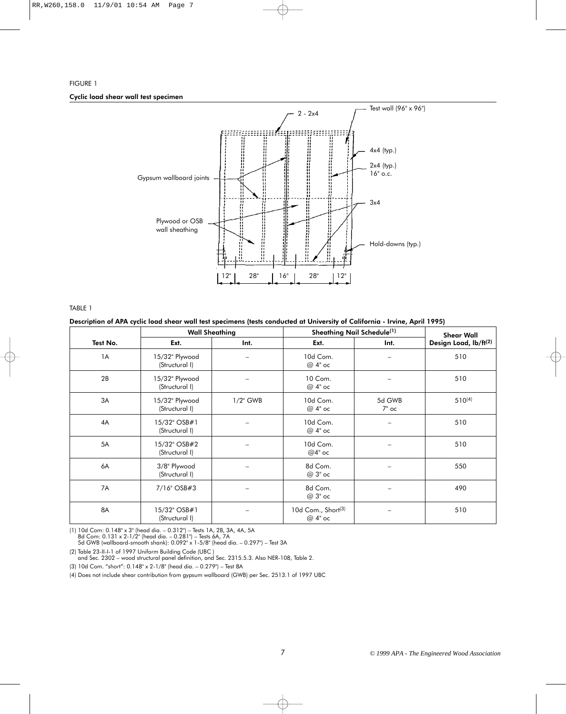# FIGURE 1 Cyclic load shear wall test specimen



TABLE 1

#### Description of APA cyclic load shear wall test specimens (tests conducted at University of California - Irvine, April 1995)

|          |                                  | <b>Wall Sheathing</b>    | Sheathing Nail Schedule <sup>(1)</sup>     | <b>Shear Wall</b> |                                   |
|----------|----------------------------------|--------------------------|--------------------------------------------|-------------------|-----------------------------------|
| Test No. | Ext.                             | Int.                     | Ext.                                       | Int.              | Design Load, lb/ft <sup>(2)</sup> |
| 1A       | 15/32" Plywood<br>(Structural I) |                          | 10d Com.<br>$@4"$ oc                       |                   | 510                               |
| 2B       | 15/32" Plywood<br>(Structural I) |                          | 10 Com.<br>$@4"$ oc                        |                   | 510                               |
| 3A       | 15/32" Plywood<br>(Structural I) | $1/2$ " GWB              | 10d Com.<br>$@4"$ oc                       | 5d GWB<br>$7"$ oc | $510^{(4)}$                       |
| 4A       | 15/32" OSB#1<br>(Structural I)   |                          | 10d Com.<br>$@4"$ oc                       |                   | 510                               |
| 5A       | 15/32" OSB#2<br>(Structural I)   |                          | 10d Com.<br>$@4"$ oc                       |                   | 510                               |
| 6A       | 3/8" Plywood<br>(Structural I)   |                          | 8d Com.<br>$@3"$ oc                        |                   | 550                               |
| 7A       | 7/16" OSB#3                      | $\overline{\phantom{0}}$ | 8d Com.<br>$@3"$ oc                        |                   | 490                               |
| 8A       | 15/32" OSB#1<br>(Structural I)   |                          | 10d Com., Short <sup>(3)</sup><br>$@4"$ oc |                   | 510                               |

(1) 10d Com: 0.148" x 3" (head dia. – 0.312") – Tests 1A, 2B, 3A, 4A, 5A 8d Com: 0.131 x 2-1/2" (head dia. – 0.281") – Tests 6A, 7A 5d GWB (wallboard-smooth shank): 0.092" x 1-5/8" (head dia. – 0.297") – Test 3A

(2) Table 23-II-I-1 of 1997 Uniform Building Code (UBC ) and Sec. 2302 – wood structural panel definition, and Sec. 2315.5.3. Also NER-108, Table 2.

(3) 10d Com. "short": 0.148" x 2-1/8" (head dia. – 0.279") – Test 8A

(4) Does not include shear contribution from gypsum wallboard (GWB) per Sec. 2513.1 of 1997 UBC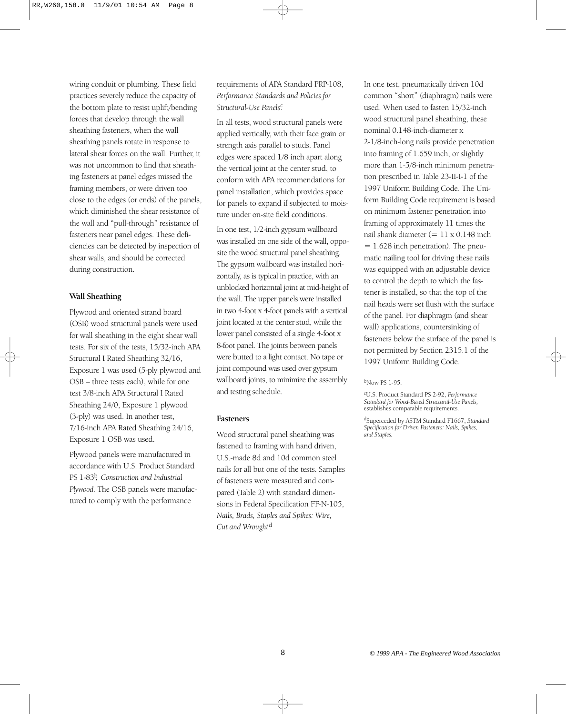wiring conduit or plumbing. These field practices severely reduce the capacity of the bottom plate to resist uplift/bending forces that develop through the wall sheathing fasteners, when the wall sheathing panels rotate in response to lateral shear forces on the wall. Further, it was not uncommon to find that sheathing fasteners at panel edges missed the framing members, or were driven too close to the edges (or ends) of the panels, which diminished the shear resistance of the wall and "pull-through" resistance of fasteners near panel edges. These deficiencies can be detected by inspection of shear walls, and should be corrected during construction.

#### **Wall Sheathing**

Plywood and oriented strand board (OSB) wood structural panels were used for wall sheathing in the eight shear wall tests. For six of the tests, 15/32-inch APA Structural I Rated Sheathing 32/16, Exposure 1 was used (5-ply plywood and OSB – three tests each), while for one test 3/8-inch APA Structural I Rated Sheathing 24/0, Exposure 1 plywood (3-ply) was used. In another test, 7/16-inch APA Rated Sheathing 24/16, Exposure 1 OSB was used.

Plywood panels were manufactured in accordance with U.S. Product Standard PS 1-83b , *Construction and Industrial Plywood.* The OSB panels were manufactured to comply with the performance

requirements of APA Standard PRP-108, *Performance Standards and Policies for* Structural-Use Panels<sup>c</sup>

In all tests, wood structural panels were applied vertically, with their face grain or strength axis parallel to studs. Panel edges were spaced 1/8 inch apart along the vertical joint at the center stud, to conform with APA recommendations for panel installation, which provides space for panels to expand if subjected to moisture under on-site field conditions.

In one test, 1/2-inch gypsum wallboard was installed on one side of the wall, opposite the wood structural panel sheathing. The gypsum wallboard was installed horizontally, as is typical in practice, with an unblocked horizontal joint at mid-height of the wall. The upper panels were installed in two 4-foot x 4-foot panels with a vertical joint located at the center stud, while the lower panel consisted of a single 4-foot x 8-foot panel. The joints between panels were butted to a light contact. No tape or joint compound was used over gypsum wallboard joints, to minimize the assembly and testing schedule.

#### **Fasteners**

Wood structural panel sheathing was fastened to framing with hand driven, U.S.-made 8d and 10d common steel nails for all but one of the tests. Samples of fasteners were measured and compared (Table 2) with standard dimensions in Federal Specification FF-N-105, *Nails, Brads, Staples and Spikes: Wire,* Cut and Wrought<sup>d</sup>.

In one test, pneumatically driven 10d common "short" (diaphragm) nails were used. When used to fasten 15/32-inch wood structural panel sheathing, these nominal 0.148-inch-diameter x 2-1/8-inch-long nails provide penetration into framing of 1.659 inch, or slightly more than 1-5/8-inch minimum penetration prescribed in Table 23-II-I-1 of the 1997 Uniform Building Code. The Uniform Building Code requirement is based on minimum fastener penetration into framing of approximately 11 times the nail shank diameter (= 11 x 0.148 inch  $= 1.628$  inch penetration). The pneumatic nailing tool for driving these nails was equipped with an adjustable device to control the depth to which the fastener is installed, so that the top of the nail heads were set flush with the surface of the panel. For diaphragm (and shear wall) applications, countersinking of fasteners below the surface of the panel is not permitted by Section 2315.1 of the 1997 Uniform Building Code.

#### $b$ Now PS 1-95.

cU.S. Product Standard PS 2-92, *Performance Standard for Wood-Based Structural-Use Panels,* establishes comparable requirements.

dSuperceded by ASTM Standard F1667, *Standard Specification for Driven Fasteners: Nails, Spikes, and Staples.*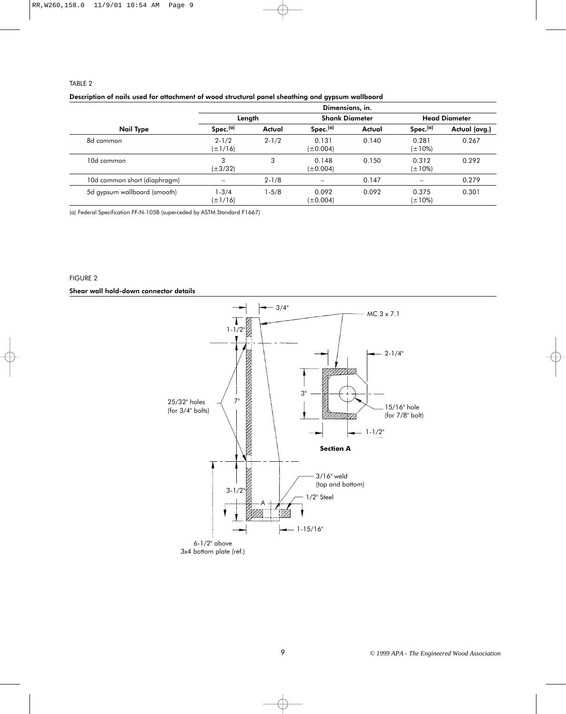#### TABLE 2

|                              | Dimensions, in.           |           |                        |        |                       |               |  |  |  |
|------------------------------|---------------------------|-----------|------------------------|--------|-----------------------|---------------|--|--|--|
|                              |                           | Length    | <b>Shank Diameter</b>  |        | <b>Head Diameter</b>  |               |  |  |  |
| Nail Type                    | Spec.(a)                  | Actual    | Spec.(a)               | Actual | Spec.(a)              | Actual (avg.) |  |  |  |
| 8d common                    | $2 - 1/2$<br>$(\pm 1/16)$ | $2 - 1/2$ | 0.131<br>$(\pm 0.004)$ | 0.140  | 0.281<br>$(\pm 10\%)$ | 0.267         |  |  |  |
| 10d common                   | 3<br>$(\pm 3/32)$         | 3         | 0.148<br>$(\pm 0.004)$ | 0.150  | 0.312<br>$(\pm 10\%)$ | 0.292         |  |  |  |
| 10d common short (diaphragm) |                           | $2 - 1/8$ |                        | 0.147  |                       | 0.279         |  |  |  |
| 5d gypsum wallboard (smooth) | $1 - 3/4$<br>$(\pm 1/16)$ | $1 - 5/8$ | 0.092<br>$(\pm 0.004)$ | 0.092  | 0.375<br>$(\pm 10\%)$ | 0.301         |  |  |  |

(a) Federal Specification FF-N-105B (superceded by ASTM Standard F1667)

# FIGURE 2

Shear wall hold-down connector details

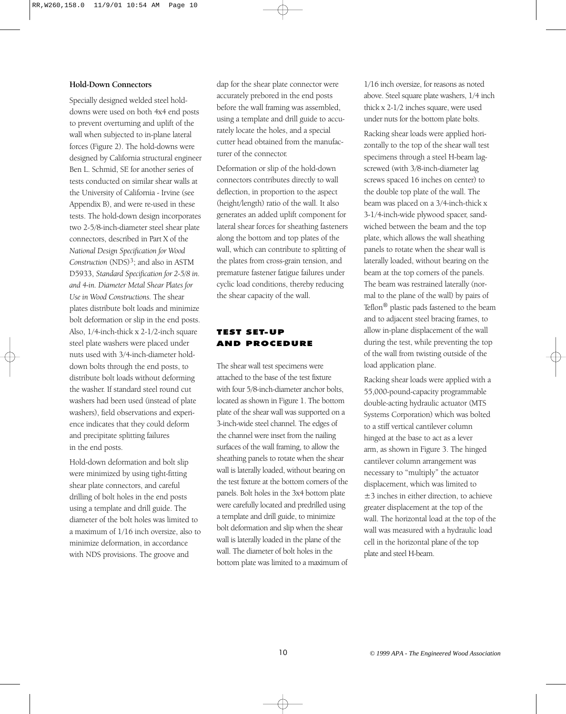# **Hold-Down Connectors**

Specially designed welded steel holddowns were used on both 4x4 end posts to prevent overturning and uplift of the wall when subjected to in-plane lateral forces (Figure 2). The hold-downs were designed by California structural engineer Ben L. Schmid, SE for another series of tests conducted on similar shear walls at the University of California - Irvine (see Appendix B), and were re-used in these tests. The hold-down design incorporates two 2-5/8-inch-diameter steel shear plate connectors, described in Part X of the *National Design Specification for Wood* Construction (NDS)<sup>3</sup>; and also in ASTM D5933, *Standard Specification for 2-5/8 in. and 4-in. Diameter Metal Shear Plates for Use in Wood Constructions.* The shear plates distribute bolt loads and minimize bolt deformation or slip in the end posts. Also, 1/4-inch-thick x 2-1/2-inch square steel plate washers were placed under nuts used with 3/4-inch-diameter holddown bolts through the end posts, to distribute bolt loads without deforming the washer. If standard steel round cut washers had been used (instead of plate washers), field observations and experience indicates that they could deform and precipitate splitting failures in the end posts.

Hold-down deformation and bolt slip were minimized by using tight-fitting shear plate connectors, and careful drilling of bolt holes in the end posts using a template and drill guide. The diameter of the bolt holes was limited to a maximum of 1/16 inch oversize, also to minimize deformation, in accordance with NDS provisions. The groove and

dap for the shear plate connector were accurately prebored in the end posts before the wall framing was assembled, using a template and drill guide to accurately locate the holes, and a special cutter head obtained from the manufacturer of the connector.

Deformation or slip of the hold-down connectors contributes directly to wall deflection, in proportion to the aspect (height/length) ratio of the wall. It also generates an added uplift component for lateral shear forces for sheathing fasteners along the bottom and top plates of the wall, which can contribute to splitting of the plates from cross-grain tension, and premature fastener fatigue failures under cyclic load conditions, thereby reducing the shear capacity of the wall.

# TEST SET-UP AND PROCEDURE

The shear wall test specimens were attached to the base of the test fixture with four 5/8-inch-diameter anchor bolts, located as shown in Figure 1. The bottom plate of the shear wall was supported on a 3-inch-wide steel channel. The edges of the channel were inset from the nailing surfaces of the wall framing, to allow the sheathing panels to rotate when the shear wall is laterally loaded, without bearing on the test fixture at the bottom corners of the panels. Bolt holes in the 3x4 bottom plate were carefully located and predrilled using a template and drill guide, to minimize bolt deformation and slip when the shear wall is laterally loaded in the plane of the wall. The diameter of bolt holes in the bottom plate was limited to a maximum of 1/16 inch oversize, for reasons as noted above. Steel square plate washers, 1/4 inch thick x 2-1/2 inches square, were used under nuts for the bottom plate bolts.

Racking shear loads were applied horizontally to the top of the shear wall test specimens through a steel H-beam lagscrewed (with 3/8-inch-diameter lag screws spaced 16 inches on center) to the double top plate of the wall. The beam was placed on a 3/4-inch-thick x 3-1/4-inch-wide plywood spacer, sandwiched between the beam and the top plate, which allows the wall sheathing panels to rotate when the shear wall is laterally loaded, without bearing on the beam at the top corners of the panels. The beam was restrained laterally (normal to the plane of the wall) by pairs of Teflon® plastic pads fastened to the beam and to adjacent steel bracing frames, to allow in-plane displacement of the wall during the test, while preventing the top of the wall from twisting outside of the load application plane.

Racking shear loads were applied with a 55,000-pound-capacity programmable double-acting hydraulic actuator (MTS Systems Corporation) which was bolted to a stiff vertical cantilever column hinged at the base to act as a lever arm, as shown in Figure 3. The hinged cantilever column arrangement was necessary to "multiply" the actuator displacement, which was limited to ±3 inches in either direction, to achieve greater displacement at the top of the wall. The horizontal load at the top of the wall was measured with a hydraulic load cell in the horizontal plane of the top plate and steel H-beam.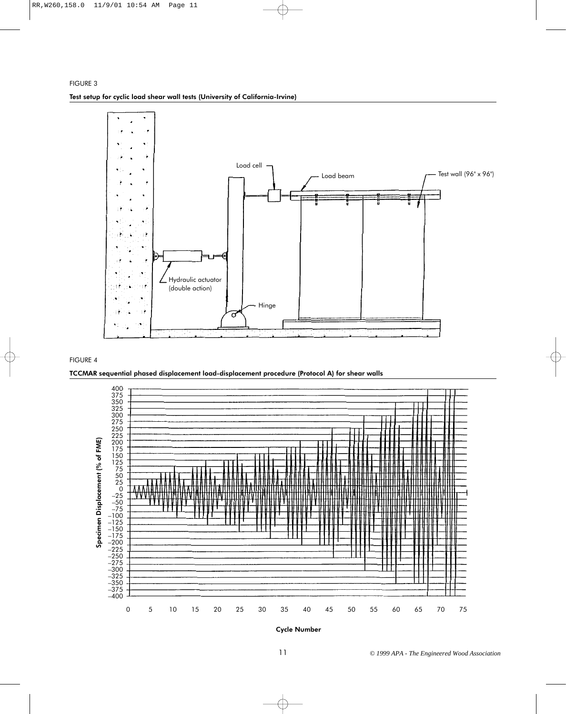

#### FIGURE 4

TCCMAR sequential phased displacement load-displacement procedure (Protocol A) for shear walls



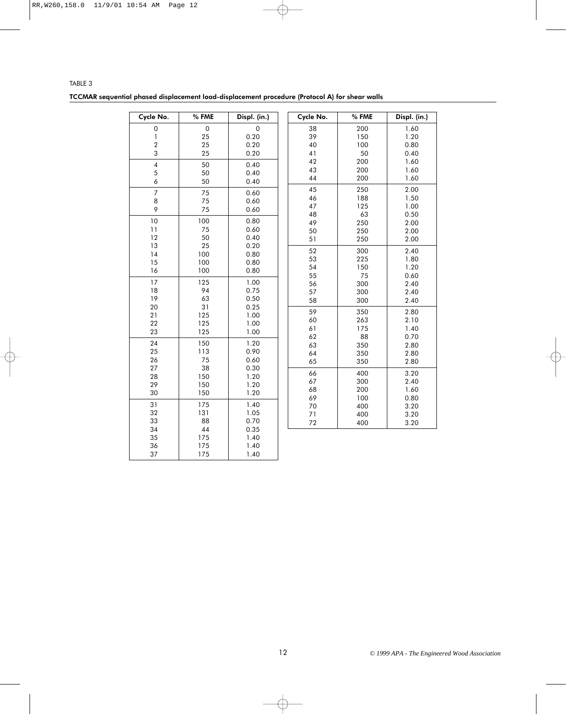| TABLE 3                                                                                        |  |  |  |  |
|------------------------------------------------------------------------------------------------|--|--|--|--|
| TCCMAR sequential phased displacement load-displacement procedure (Protocol A) for shear walls |  |  |  |  |

| Cycle No.               | % FME      | Displ. (in.) |  |  |
|-------------------------|------------|--------------|--|--|
| 0                       | 0          | 0            |  |  |
| 1                       | 25         | 0.20         |  |  |
| $\overline{c}$          | 25         | 0.20         |  |  |
| 3                       | 25         | 0.20         |  |  |
| $\overline{\mathbf{4}}$ | 50         | 0.40         |  |  |
| 5                       | 50         | 0.40         |  |  |
| 6                       | 50         | 0.40         |  |  |
| 7                       | 75         | 0.60         |  |  |
| 8                       | 75         | 0.60         |  |  |
| 9                       | 75         | 0.60         |  |  |
| 10                      | 100        | 0.80         |  |  |
| 11                      | 75         | 0.60         |  |  |
| 12                      | 50         | 0.40         |  |  |
| 13                      | 25         | 0.20         |  |  |
| 14                      | 100        | 0.80         |  |  |
| 15                      | 100        | 0.80         |  |  |
| 16                      | 100        | 0.80         |  |  |
| 17                      | 125        | 1.00         |  |  |
| 18                      | 94         | 0.75         |  |  |
| 19                      | 63         | 0.50         |  |  |
| 20                      | 31         | 0.25         |  |  |
| 21                      | 125        | 1.00         |  |  |
| 22                      | 125        | 1.00         |  |  |
| 23                      | 125        | 1.00         |  |  |
| 24                      | 150        | 1.20         |  |  |
| 25                      | 113        | 0.90         |  |  |
| 26                      | 75         | 0.60         |  |  |
| 27                      | 38         | 0.30         |  |  |
| 28<br>29                | 150        | 1.20         |  |  |
| 30                      | 150<br>150 | 1.20<br>1.20 |  |  |
|                         |            |              |  |  |
| 31                      | 175        | 1.40         |  |  |
| 32                      | 131        | 1.05         |  |  |
| 33<br>34                | 88<br>44   | 0.70         |  |  |
| 35                      | 175        | 0.35<br>1.40 |  |  |
| 36                      | 175        | 1.40         |  |  |
| 37                      | 175        | 1.40         |  |  |
|                         |            |              |  |  |

| Cycle No. | % FME | Displ. (in.) |  |  |
|-----------|-------|--------------|--|--|
| 38        | 200   | 1.60         |  |  |
| 39        | 150   | 1.20         |  |  |
| 40        | 100   | 0.80         |  |  |
| 41        | 50    | 0.40         |  |  |
| 42        | 200   | 1.60         |  |  |
| 43        | 200   | 1.60         |  |  |
| 44        | 200   | 1.60         |  |  |
| 45        | 250   | 2.00         |  |  |
| 46        | 188   | 1.50         |  |  |
| 47        | 125   | 1.00         |  |  |
| 48        | 63    | 0.50         |  |  |
| 49        | 250   | 2.00         |  |  |
| 50        | 250   | 2.00         |  |  |
| 51        | 250   | 2.00         |  |  |
| 52        | 300   | 2.40         |  |  |
| 53        | 225   | 1.80         |  |  |
| 54        | 150   | 1.20         |  |  |
| 55        | 75    | 0.60         |  |  |
| 56        | 300   | 2.40         |  |  |
| 57        | 300   | 2.40         |  |  |
| 58        | 300   | 2.40         |  |  |
| 59        | 350   | 2.80         |  |  |
| 60        | 263   | 2.10         |  |  |
| 61        | 175   | 1.40         |  |  |
| 62        | 88    | 0.70         |  |  |
| 63        | 350   | 2.80         |  |  |
| 64        | 350   | 2.80         |  |  |
| 65        | 350   | 2.80         |  |  |
| 66        | 400   | 3.20         |  |  |
| 67        | 300   | 2.40         |  |  |
| 68        | 200   | 1.60         |  |  |
| 69        | 100   | 0.80         |  |  |
| 70        | 400   | 3.20         |  |  |
| 71        | 400   | 3.20         |  |  |
| 72        | 400   | 3.20         |  |  |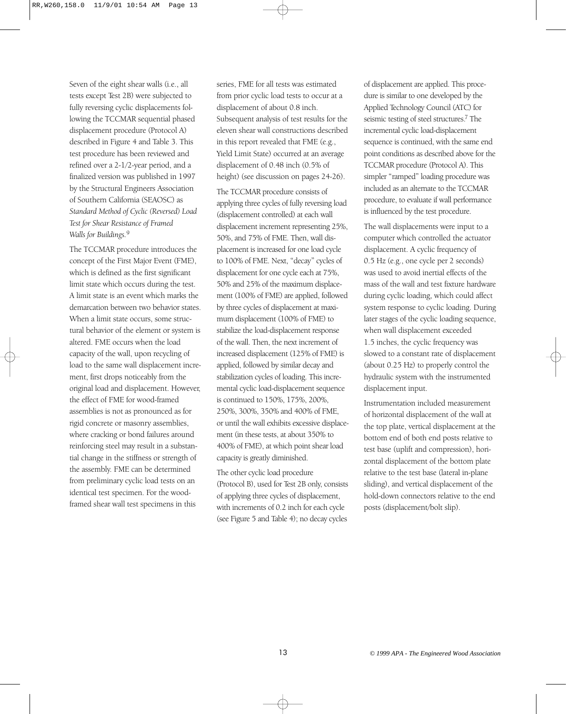Seven of the eight shear walls (i.e., all tests except Test 2B) were subjected to fully reversing cyclic displacements following the TCCMAR sequential phased displacement procedure (Protocol A) described in Figure 4 and Table 3. This test procedure has been reviewed and refined over a 2-1/2-year period, and a finalized version was published in 1997 by the Structural Engineers Association of Southern California (SEAOSC) as *Standard Method of Cyclic (Reversed) Load Test for Shear Resistance of Framed Walls for Buildings.*<sup>9</sup>

The TCCMAR procedure introduces the concept of the First Major Event (FME), which is defined as the first significant limit state which occurs during the test. A limit state is an event which marks the demarcation between two behavior states. When a limit state occurs, some structural behavior of the element or system is altered. FME occurs when the load capacity of the wall, upon recycling of load to the same wall displacement increment, first drops noticeably from the original load and displacement. However, the effect of FME for wood-framed assemblies is not as pronounced as for rigid concrete or masonry assemblies, where cracking or bond failures around reinforcing steel may result in a substantial change in the stiffness or strength of the assembly. FME can be determined from preliminary cyclic load tests on an identical test specimen. For the woodframed shear wall test specimens in this

series, FME for all tests was estimated from prior cyclic load tests to occur at a displacement of about 0.8 inch. Subsequent analysis of test results for the eleven shear wall constructions described in this report revealed that FME (e.g., Yield Limit State) occurred at an average displacement of 0.48 inch (0.5% of height) (see discussion on pages 24-26).

The TCCMAR procedure consists of applying three cycles of fully reversing load (displacement controlled) at each wall displacement increment representing 25%, 50%, and 75% of FME. Then, wall displacement is increased for one load cycle to 100% of FME. Next, "decay" cycles of displacement for one cycle each at 75%, 50% and 25% of the maximum displacement (100% of FME) are applied, followed by three cycles of displacement at maximum displacement (100% of FME) to stabilize the load-displacement response of the wall. Then, the next increment of increased displacement (125% of FME) is applied, followed by similar decay and stabilization cycles of loading. This incremental cyclic load-displacement sequence is continued to 150%, 175%, 200%, 250%, 300%, 350% and 400% of FME, or until the wall exhibits excessive displacement (in these tests, at about 350% to 400% of FME), at which point shear load capacity is greatly diminished.

The other cyclic load procedure (Protocol B), used for Test 2B only, consists of applying three cycles of displacement, with increments of 0.2 inch for each cycle (see Figure 5 and Table 4); no decay cycles

of displacement are applied. This procedure is similar to one developed by the Applied Technology Council (ATC) for seismic testing of steel structures.7 The incremental cyclic load-displacement sequence is continued, with the same end point conditions as described above for the TCCMAR procedure (Protocol A). This simpler "ramped" loading procedure was included as an alternate to the TCCMAR procedure, to evaluate if wall performance is influenced by the test procedure.

The wall displacements were input to a computer which controlled the actuator displacement. A cyclic frequency of 0.5 Hz (e.g., one cycle per 2 seconds) was used to avoid inertial effects of the mass of the wall and test fixture hardware during cyclic loading, which could affect system response to cyclic loading. During later stages of the cyclic loading sequence, when wall displacement exceeded 1.5 inches, the cyclic frequency was slowed to a constant rate of displacement (about 0.25 Hz) to properly control the hydraulic system with the instrumented displacement input.

Instrumentation included measurement of horizontal displacement of the wall at the top plate, vertical displacement at the bottom end of both end posts relative to test base (uplift and compression), horizontal displacement of the bottom plate relative to the test base (lateral in-plane sliding), and vertical displacement of the hold-down connectors relative to the end posts (displacement/bolt slip).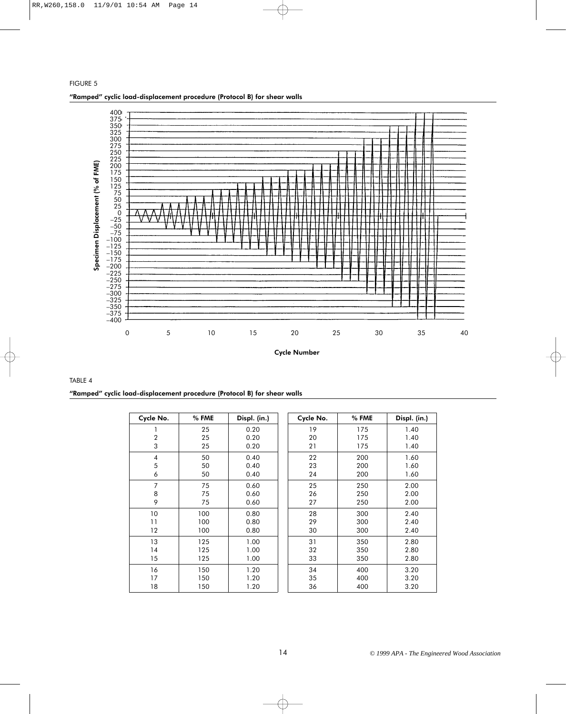

# TABLE 4 "Ramped" cyclic load-displacement procedure (Protocol B) for shear walls

| Cycle No.      | % FME | Displ. (in.) | Cycle No. | % FME | Displ. (in.) |
|----------------|-------|--------------|-----------|-------|--------------|
| 1              | 25    | 0.20         | 19        | 175   | 1.40         |
| $\overline{2}$ | 25    | 0.20         | 20        | 175   | 1.40         |
| 3              | 25    | 0.20         | 21        | 175   | 1.40         |
| 4              | 50    | 0.40         | 22        | 200   | 1.60         |
| 5              | 50    | 0.40         | 23        | 200   | 1.60         |
| 6              | 50    | 0.40         | 24        | 200   | 1.60         |
| 7              | 75    | 0.60         | 25        | 250   | 2.00         |
| 8              | 75    | 0.60         | 26        | 250   | 2.00         |
| 9              | 75    | 0.60         | 27        | 250   | 2.00         |
| 10             | 100   | 0.80         | 28        | 300   | 2.40         |
| 11             | 100   | 0.80         | 29        | 300   | 2.40         |
| 12             | 100   | 0.80         | 30        | 300   | 2.40         |
| 13             | 125   | 1.00         | 31        | 350   | 2.80         |
| 14             | 125   | 1.00         | 32        | 350   | 2.80         |
| 15             | 125   | 1.00         | 33        | 350   | 2.80         |
| 16             | 150   | 1.20         | 34        | 400   | 3.20         |
| 17             | 150   | 1.20         | 35        | 400   | 3.20         |
| 18             | 150   | 1.20         | 36        | 400   | 3.20         |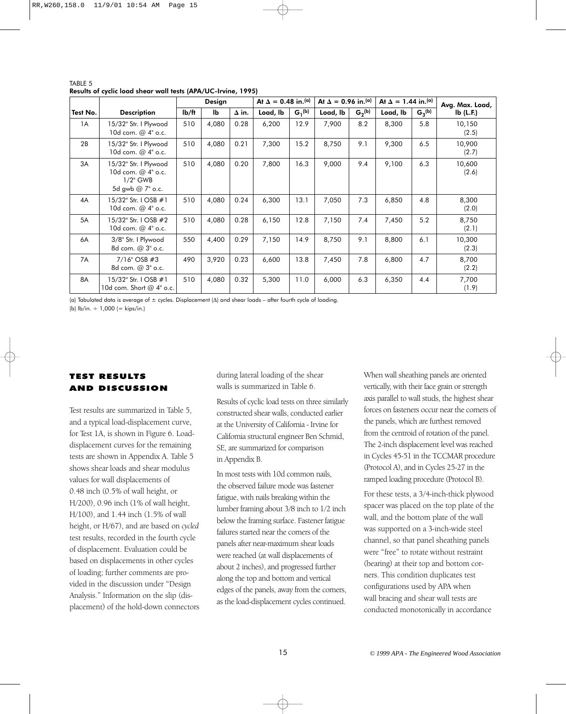|          |                                                                                | At $\Delta = 0.48$ in. <sup>(a)</sup><br>Design |       |              | At $\Delta = 0.96$ in. <sup>(a)</sup><br>At $\Delta = 1.44$ in. <sup>(a)</sup> |             |          |             |          |             |                 |
|----------|--------------------------------------------------------------------------------|-------------------------------------------------|-------|--------------|--------------------------------------------------------------------------------|-------------|----------|-------------|----------|-------------|-----------------|
|          |                                                                                |                                                 |       |              |                                                                                |             |          |             |          |             | Avg. Max. Load, |
| Test No. | <b>Description</b>                                                             | I <sub>b</sub> /ft                              | Ib    | $\Delta$ in. | Load, lb                                                                       | $G_1^{(b)}$ | Load, lb | $G_2^{(b)}$ | Load, lb | $G_3^{(b)}$ | lb(L.F.)        |
| 1A       | 15/32" Str. I Plywood<br>10d com. @ 4" o.c.                                    | 510                                             | 4,080 | 0.28         | 6,200                                                                          | 12.9        | 7,900    | 8.2         | 8,300    | 5.8         | 10,150<br>(2.5) |
| 2B       | 15/32" Str. I Plywood<br>10d com. @ 4" o.c.                                    | 510                                             | 4,080 | 0.21         | 7,300                                                                          | 15.2        | 8,750    | 9.1         | 9,300    | 6.5         | 10,900<br>(2.7) |
| 3A       | 15/32" Str. I Plywood<br>10d com. @ 4" o.c.<br>$1/2$ " GWB<br>5d gwb @ 7" o.c. | 510                                             | 4,080 | 0.20         | 7,800                                                                          | 16.3        | 9,000    | 9.4         | 9,100    | 6.3         | 10,600<br>(2.6) |
| 4A       | 15/32" Str. I OSB #1<br>10d com. @ 4" o.c.                                     | 510                                             | 4,080 | 0.24         | 6,300                                                                          | 13.1        | 7,050    | 7.3         | 6,850    | 4.8         | 8,300<br>(2.0)  |
| 5A       | 15/32" Str. I OSB #2<br>10d com. @ 4" o.c.                                     | 510                                             | 4,080 | 0.28         | 6,150                                                                          | 12.8        | 7,150    | 7.4         | 7,450    | 5.2         | 8,750<br>(2.1)  |
| 6A       | 3/8" Str. I Plywood<br>8d com. @ 3" o.c.                                       | 550                                             | 4,400 | 0.29         | 7,150                                                                          | 14.9        | 8,750    | 9.1         | 8,800    | 6.1         | 10,300<br>(2.3) |
| 7A       | $7/16$ " OSB #3<br>8d com. @ 3" o.c.                                           | 490                                             | 3,920 | 0.23         | 6,600                                                                          | 13.8        | 7,450    | 7.8         | 6,800    | 4.7         | 8,700<br>(2.2)  |
| 8A       | 15/32" Str. I OSB #1<br>10d com. Short @ 4" o.c.                               | 510                                             | 4,080 | 0.32         | 5,300                                                                          | 11.0        | 6,000    | 6.3         | 6,350    | 4.4         | 7,700<br>(1.9)  |

TABLE 5 Results of cyclic load shear wall tests (APA/UC-Irvine, 1995)

(a) Tabulated data is average of ± cycles. Displacement (∆) and shear loads – after fourth cycle of loading.

(b)  $\frac{1}{2}$  lb/in.  $\div$  1,000 (= kips/in.)

# TEST RESULTS AND DISCUSSION

Test results are summarized in Table 5, and a typical load-displacement curve, for Test 1A, is shown in Figure 6. Loaddisplacement curves for the remaining tests are shown in Appendix A. Table 5 shows shear loads and shear modulus values for wall displacements of 0.48 inch (0.5% of wall height, or H/200), 0.96 inch (1% of wall height, H/100), and 1.44 inch (1.5% of wall height, or H/67), and are based on *cycled* test results, recorded in the fourth cycle of displacement. Evaluation could be based on displacements in other cycles of loading; further comments are provided in the discussion under "Design Analysis." Information on the slip (displacement) of the hold-down connectors during lateral loading of the shear walls is summarized in Table 6.

Results of cyclic load tests on three similarly constructed shear walls, conducted earlier at the University of California - Irvine for California structural engineer Ben Schmid, SE, are summarized for comparison in Appendix B.

In most tests with 10d common nails, the observed failure mode was fastener fatigue, with nails breaking within the lumber framing about 3/8 inch to 1/2 inch below the framing surface. Fastener fatigue failures started near the corners of the panels after near-maximum shear loads were reached (at wall displacements of about 2 inches), and progressed further along the top and bottom and vertical edges of the panels, away from the corners, as the load-displacement cycles continued.

When wall sheathing panels are oriented vertically, with their face grain or strength axis parallel to wall studs, the highest shear forces on fasteners occur near the corners of the panels, which are furthest removed from the centroid of rotation of the panel. The 2-inch displacement level was reached in Cycles 45-51 in the TCCMAR procedure (Protocol A), and in Cycles 25-27 in the ramped loading procedure (Protocol B).

For these tests, a 3/4-inch-thick plywood spacer was placed on the top plate of the wall, and the bottom plate of the wall was supported on a 3-inch-wide steel channel, so that panel sheathing panels were "free" to rotate without restraint (bearing) at their top and bottom corners. This condition duplicates test configurations used by APA when wall bracing and shear wall tests are conducted monotonically in accordance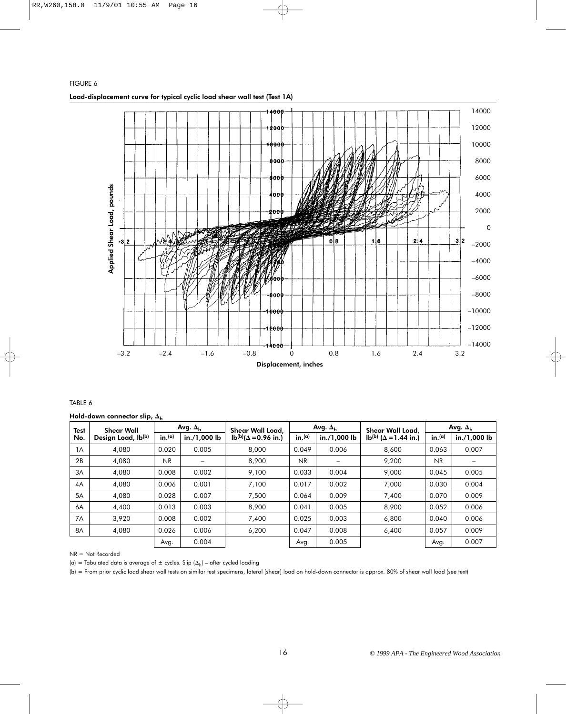# FIGURE 6 Load-displacement curve for typical cyclic load shear wall test (Test 1A)



# TABLE 6

Hold-down connector slip,  $\Delta_{\mathsf{h}}$ 

| <b>Test</b> | <b>Shear Wall</b>  |                    | Avg. $\Delta_{\sf h}$ | Shear Wall Load,              | Avg. $\Delta_h$    |              | Shear Wall Load,                         | Avg. $\Delta_h$ |              |
|-------------|--------------------|--------------------|-----------------------|-------------------------------|--------------------|--------------|------------------------------------------|-----------------|--------------|
| No.         | Design Load, Ib(b) | in. <sup>(a)</sup> | in./1,000 lb          | $Ib^{(b)}(\Delta = 0.96$ in.) | in. <sup>(a)</sup> | in./1,000 lb | lb <sup>(b)</sup> ( $\Delta$ = 1.44 in.) | in.(a)          | in./1,000 lb |
| 1A          | 4.080              | 0.020              | 0.005                 | 8.000                         | 0.049              | 0.006        | 8.600                                    | 0.063           | 0.007        |
| 2B          | 4,080              | <b>NR</b>          | -                     | 8,900                         | N <sub>R</sub>     |              | 9,200                                    | NR.             |              |
| 3A          | 4,080              | 0.008              | 0.002                 | 9,100                         | 0.033              | 0.004        | 9,000                                    | 0.045           | 0.005        |
| 4A          | 4,080              | 0.006              | 0.001                 | 7,100                         | 0.017              | 0.002        | 7,000                                    | 0.030           | 0.004        |
| 5A          | 4,080              | 0.028              | 0.007                 | 7,500                         | 0.064              | 0.009        | 7,400                                    | 0.070           | 0.009        |
| 6A          | 4,400              | 0.013              | 0.003                 | 8,900                         | 0.041              | 0.005        | 8,900                                    | 0.052           | 0.006        |
| 7A          | 3.920              | 0.008              | 0.002                 | 7.400                         | 0.025              | 0.003        | 6,800                                    | 0.040           | 0.006        |
| 8A          | 4,080              | 0.026              | 0.006                 | 6,200                         | 0.047              | 0.008        | 6,400                                    | 0.057           | 0.009        |
|             |                    | Avg.               | 0.004                 |                               | Avg.               | 0.005        |                                          | Avg.            | 0.007        |

#### NR = Not Recorded

(a) = Tabulated data is average of  $\pm$  cycles. Slip ( $\Delta_{\mathsf{h}}$ ) – after cycled loading

(b) = From prior cyclic load shear wall tests on similar test specimens, lateral (shear) load on hold-down connector is approx. 80% of shear wall load (see text)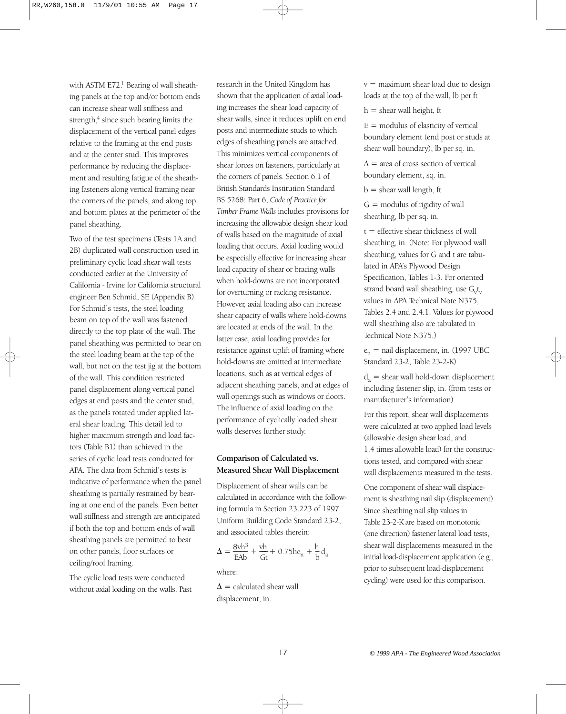with ASTM E72.<sup>1</sup> Bearing of wall sheathing panels at the top and/or bottom ends can increase shear wall stiffness and strength, $4$  since such bearing limits the displacement of the vertical panel edges relative to the framing at the end posts and at the center stud. This improves performance by reducing the displacement and resulting fatigue of the sheathing fasteners along vertical framing near the corners of the panels, and along top and bottom plates at the perimeter of the panel sheathing.

Two of the test specimens (Tests 1A and 2B) duplicated wall construction used in preliminary cyclic load shear wall tests conducted earlier at the University of California - Irvine for California structural engineer Ben Schmid, SE (Appendix B). For Schmid's tests, the steel loading beam on top of the wall was fastened directly to the top plate of the wall. The panel sheathing was permitted to bear on the steel loading beam at the top of the wall, but not on the test jig at the bottom of the wall. This condition restricted panel displacement along vertical panel edges at end posts and the center stud, as the panels rotated under applied lateral shear loading. This detail led to higher maximum strength and load factors (Table B1) than achieved in the series of cyclic load tests conducted for APA. The data from Schmid's tests is indicative of performance when the panel sheathing is partially restrained by bearing at one end of the panels. Even better wall stiffness and strength are anticipated if both the top and bottom ends of wall sheathing panels are permitted to bear on other panels, floor surfaces or ceiling/roof framing.

The cyclic load tests were conducted without axial loading on the walls. Past research in the United Kingdom has shown that the application of axial loading increases the shear load capacity of shear walls, since it reduces uplift on end posts and intermediate studs to which edges of sheathing panels are attached. This minimizes vertical components of shear forces on fasteners, particularly at the corners of panels. Section 6.1 of British Standards Institution Standard BS 5268: Part 6, *Code of Practice for Timber Frame Walls* includes provisions for increasing the allowable design shear load of walls based on the magnitude of axial loading that occurs. Axial loading would be especially effective for increasing shear load capacity of shear or bracing walls when hold-downs are not incorporated for overturning or racking resistance. However, axial loading also can increase shear capacity of walls where hold-downs are located at ends of the wall. In the latter case, axial loading provides for resistance against uplift of framing where hold-downs are omitted at intermediate locations, such as at vertical edges of adjacent sheathing panels, and at edges of wall openings such as windows or doors. The influence of axial loading on the performance of cyclically loaded shear walls deserves further study.

# **Comparison of Calculated vs. Measured Shear Wall Displacement**

Displacement of shear walls can be calculated in accordance with the following formula in Section 23.223 of 1997 Uniform Building Code Standard 23-2, and associated tables therein:

$$
\Delta = \frac{8vh^3}{EAb} + \frac{vh}{Gt} + 0.75he_n + \frac{h}{b}d_a
$$

where:

 $\Delta$  = calculated shear wall displacement, in.

v = maximum shear load due to design loads at the top of the wall, lb per ft

 $h =$  shear wall height, ft

 $E =$  modulus of elasticity of vertical boundary element (end post or studs at shear wall boundary), lb per sq. in.

 $A = \text{area of cross section of vertical}$ boundary element, sq. in.

 $b =$  shear wall length, ft

 $G =$  modulus of rigidity of wall sheathing, lb per sq. in.

 $t =$  effective shear thickness of wall sheathing, in. (Note: For plywood wall sheathing, values for G and t are tabulated in APA's Plywood Design Specification, Tables 1-3. For oriented strand board wall sheathing, use  $\rm G_v t_v$ values in APA Technical Note N375, Tables 2.4 and 2.4.1. Values for plywood wall sheathing also are tabulated in Technical Note N375.)

 $e_n$  = nail displacement, in. (1997 UBC Standard 23-2, Table 23-2-K)

 $d_a$  = shear wall hold-down displacement including fastener slip, in. (from tests or manufacturer's information)

For this report, shear wall displacements were calculated at two applied load levels (allowable design shear load, and 1.4 times allowable load) for the constructions tested, and compared with shear wall displacements measured in the tests.

One component of shear wall displacement is sheathing nail slip (displacement). Since sheathing nail slip values in Table 23-2-K are based on monotonic (one direction) fastener lateral load tests, shear wall displacements measured in the initial load-displacement application (e.g., prior to subsequent load-displacement cycling) were used for this comparison.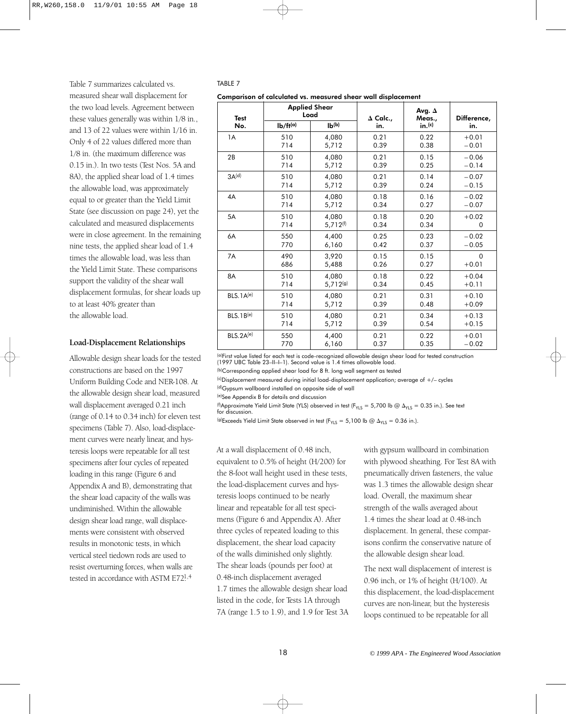Table 7 summarizes calculated vs. measured shear wall displacement for the two load levels. Agreement between these values generally was within 1/8 in., and 13 of 22 values were within 1/16 in. Only 4 of 22 values differed more than 1/8 in. (the maximum difference was 0.15 in.). In two tests (Test Nos. 5A and 8A), the applied shear load of 1.4 times the allowable load, was approximately equal to or greater than the Yield Limit State (see discussion on page 24), yet the calculated and measured displacements were in close agreement. In the remaining nine tests, the applied shear load of 1.4 times the allowable load, was less than the Yield Limit State. These comparisons support the validity of the shear wall displacement formulas, for shear loads up to at least 40% greater than the allowable load.

#### **Load-Displacement Relationships**

Allowable design shear loads for the tested constructions are based on the 1997 Uniform Building Code and NER-108. At the allowable design shear load, measured wall displacement averaged 0.21 inch (range of 0.14 to 0.34 inch) for eleven test specimens (Table 7). Also, load-displacement curves were nearly linear, and hysteresis loops were repeatable for all test specimens after four cycles of repeated loading in this range (Figure 6 and Appendix A and B), demonstrating that the shear load capacity of the walls was undiminished. Within the allowable design shear load range, wall displacements were consistent with observed results in monotonic tests, in which vertical steel tiedown rods are used to resist overturning forces, when walls are tested in accordance with ASTM E72<sup>1,4</sup>

#### TABLE 7

Comparison of calculated vs. measured shear wall displacement

| <b>Test</b>       |               | <b>Applied Shear</b><br>Load | $\Delta$ Calc., | Avg. $\Delta$<br>Meas., | Difference, |
|-------------------|---------------|------------------------------|-----------------|-------------------------|-------------|
| No.               | $Ib/ft^{(a)}$ | $Ib^{(b)}$                   | in.             | in.(c)                  | in.         |
| 1A                | 510           | 4,080                        | 0.21            | 0.22                    | $+0.01$     |
|                   | 714           | 5,712                        | 0.39            | 0.38                    | $-0.01$     |
| 2B                | 510           | 4,080                        | 0.21            | 0.15                    | $-0.06$     |
|                   | 714           | 5,712                        | 0.39            | 0.25                    | $-0.14$     |
| 3A <sup>(d)</sup> | 510           | 4,080                        | 0.21            | 0.14                    | $-0.07$     |
|                   | 714           | 5,712                        | 0.39            | 0.24                    | $-0.15$     |
| 4A                | 510           | 4,080                        | 0.18            | 0.16                    | $-0.02$     |
|                   | 714           | 5,712                        | 0.34            | 0.27                    | $-0.07$     |
| 5A                | 510           | 4,080                        | 0.18            | 0.20                    | $+0.02$     |
|                   | 714           | $5,712^{(f)}$                | 0.34            | 0.34                    | $\Omega$    |
| 6A                | 550           | 4,400                        | 0.25            | 0.23                    | $-0.02$     |
|                   | 770           | 6,160                        | 0.42            | 0.37                    | $-0.05$     |
| 7A                | 490           | 3,920                        | 0.15            | 0.15                    | $\Omega$    |
|                   | 686           | 5,488                        | 0.26            | 0.27                    | $+0.01$     |
| 8A                | 510           | 4,080                        | 0.18            | 0.22                    | $+0.04$     |
|                   | 714           | 5,712(g)                     | 0.34            | 0.45                    | $+0.11$     |
| $BLS.1A^{(e)}$    | 510           | 4,080                        | 0.21            | 0.31                    | $+0.10$     |
|                   | 714           | 5,712                        | 0.39            | 0.48                    | $+0.09$     |
| $BLS.1B^{(e)}$    | 510           | 4,080                        | 0.21            | 0.34                    | $+0.13$     |
|                   | 714           | 5,712                        | 0.39            | 0.54                    | $+0.15$     |
| $BLS.2A^{(e)}$    | 550           | 4,400                        | 0.21            | 0.22                    | $+0.01$     |
|                   | 770           | 6,160                        | 0.37            | 0.35                    | $-0.02$     |

(a)First value listed for each test is code-recognized allowable design shear load for tested construction (1997 UBC Table 23–II–I–1). Second value is 1.4 times allowable load.

(b)Corresponding applied shear load for 8 ft. long wall segment as tested

 $(c)$ Displacement measured during initial load-displacement application; average of  $+/-$  cycles

(d) Gypsum wallboard installed on opposite side of wall

(e)See Appendix B for details and discussion

(f)Approximate Yield Limit State (YLS) observed in test (F<sub>YLS</sub> = 5,700 lb @  $\Delta_\mathrm{YLS}$  = 0.35 in.). See text for discussion.

<sup>(g)</sup>Exceeds Yield Limit State observed in test (F<sub>YLS</sub> = 5,100 lb @  $\Delta_\mathrm{YLS}$  = 0.36 in.).

At a wall displacement of 0.48 inch, equivalent to 0.5% of height (H/200) for the 8-foot wall height used in these tests, the load-displacement curves and hysteresis loops continued to be nearly linear and repeatable for all test specimens (Figure 6 and Appendix A). After three cycles of repeated loading to this displacement, the shear load capacity of the walls diminished only slightly. The shear loads (pounds per foot) at 0.48-inch displacement averaged 1.7 times the allowable design shear load listed in the code, for Tests 1A through 7A (range 1.5 to 1.9), and 1.9 for Test 3A with gypsum wallboard in combination with plywood sheathing. For Test 8A with pneumatically driven fasteners, the value was 1.3 times the allowable design shear load. Overall, the maximum shear strength of the walls averaged about 1.4 times the shear load at 0.48-inch displacement. In general, these comparisons confirm the conservative nature of the allowable design shear load.

The next wall displacement of interest is 0.96 inch, or 1% of height (H/100). At this displacement, the load-displacement curves are non-linear, but the hysteresis loops continued to be repeatable for all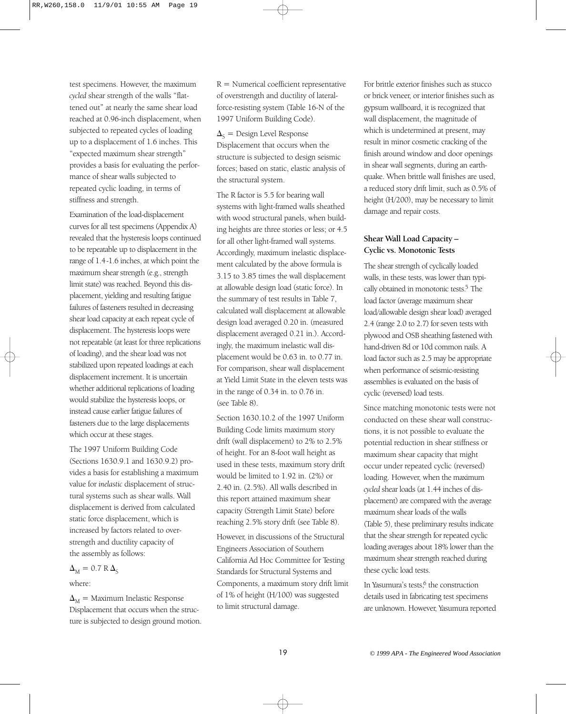test specimens. However, the maximum *cycled* shear strength of the walls "flattened out" at nearly the same shear load reached at 0.96-inch displacement, when subjected to repeated cycles of loading up to a displacement of 1.6 inches. This "expected maximum shear strength" provides a basis for evaluating the performance of shear walls subjected to repeated cyclic loading, in terms of stiffness and strength.

Examination of the load-displacement curves for all test specimens (Appendix A) revealed that the hysteresis loops continued to be repeatable up to displacement in the range of 1.4-1.6 inches, at which point the maximum shear strength (e.g., strength limit state) was reached. Beyond this displacement, yielding and resulting fatigue failures of fasteners resulted in decreasing shear load capacity at each repeat cycle of displacement. The hysteresis loops were not repeatable (at least for three replications of loading), and the shear load was not stabilized upon repeated loadings at each displacement increment. It is uncertain whether additional replications of loading would stabilize the hysteresis loops, or instead cause earlier fatigue failures of fasteners due to the large displacements which occur at these stages.

The 1997 Uniform Building Code (Sections 1630.9.1 and 1630.9.2) provides a basis for establishing a maximum value for *inelastic* displacement of structural systems such as shear walls. Wall displacement is derived from calculated static force displacement, which is increased by factors related to overstrength and ductility capacity of the assembly as follows:

 $\Delta_{\rm M} = 0.7 \text{ R } \Delta_{\rm S}$ 

where:

 $\Delta_{\rm M} =$  Maximum Inelastic Response Displacement that occurs when the structure is subjected to design ground motion.

 $R =$  Numerical coefficient representative of overstrength and ductility of lateralforce-resisting system (Table 16-N of the 1997 Uniform Building Code).

 $\Delta_{\mathcal{S}} =$  Design Level Response Displacement that occurs when the structure is subjected to design seismic forces; based on static, elastic analysis of the structural system.

The R factor is 5.5 for bearing wall systems with light-framed walls sheathed with wood structural panels, when building heights are three stories or less; or 4.5 for all other light-framed wall systems. Accordingly, maximum inelastic displacement calculated by the above formula is 3.15 to 3.85 times the wall displacement at allowable design load (static force). In the summary of test results in Table 7, calculated wall displacement at allowable design load averaged 0.20 in. (measured displacement averaged 0.21 in.). Accordingly, the maximum inelastic wall displacement would be 0.63 in. to 0.77 in. For comparison, shear wall displacement at Yield Limit State in the eleven tests was in the range of 0.34 in. to 0.76 in. (see Table 8).

Section 1630.10.2 of the 1997 Uniform Building Code limits maximum story drift (wall displacement) to 2% to 2.5% of height. For an 8-foot wall height as used in these tests, maximum story drift would be limited to 1.92 in. (2%) or 2.40 in. (2.5%). All walls described in this report attained maximum shear capacity (Strength Limit State) before reaching 2.5% story drift (see Table 8).

However, in discussions of the Structural Engineers Association of Southern California Ad Hoc Committee for Testing Standards for Structural Systems and Components, a maximum story drift limit of 1% of height (H/100) was suggested to limit structural damage.

For brittle exterior finishes such as stucco or brick veneer, or interior finishes such as gypsum wallboard, it is recognized that wall displacement, the magnitude of which is undetermined at present, may result in minor cosmetic cracking of the finish around window and door openings in shear wall segments, during an earthquake. When brittle wall finishes are used, a reduced story drift limit, such as 0.5% of height (H/200), may be necessary to limit damage and repair costs.

# **Shear Wall Load Capacity – Cyclic vs. Monotonic Tests**

The shear strength of cyclically loaded walls, in these tests, was lower than typically obtained in monotonic tests.<sup>5</sup> The load factor (average maximum shear load/allowable design shear load) averaged 2.4 (range 2.0 to 2.7) for seven tests with plywood and OSB sheathing fastened with hand-driven 8d or 10d common nails. A load factor such as 2.5 may be appropriate when performance of seismic-resisting assemblies is evaluated on the basis of cyclic (reversed) load tests.

Since matching monotonic tests were not conducted on these shear wall constructions, it is not possible to evaluate the potential reduction in shear stiffness or maximum shear capacity that might occur under repeated cyclic (reversed) loading. However, when the maximum *cycled* shear loads (at 1.44 inches of displacement) are compared with the average maximum shear loads of the walls (Table 5), these preliminary results indicate that the shear strength for repeated cyclic loading averages about 18% lower than the maximum shear strength reached during these cyclic load tests.

In Yasumura's tests,<sup>6</sup> the construction details used in fabricating test specimens are unknown. However, Yasumura reported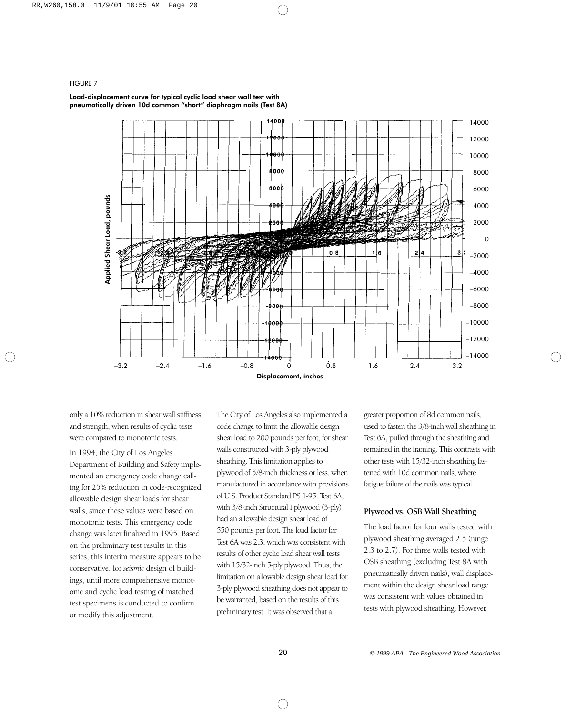#### FIGURE 7



#### Load-displacement curve for typical cyclic load shear wall test with pneumatically driven 10d common "short" diaphragm nails (Test 8A)

only a 10% reduction in shear wall stiffness and strength, when results of cyclic tests were compared to monotonic tests.

In 1994, the City of Los Angeles Department of Building and Safety implemented an emergency code change calling for 25% reduction in code-recognized allowable design shear loads for shear walls, since these values were based on monotonic tests. This emergency code change was later finalized in 1995. Based on the preliminary test results in this series, this interim measure appears to be conservative, for *seismic* design of buildings, until more comprehensive monotonic and cyclic load testing of matched test specimens is conducted to confirm or modify this adjustment.

The City of Los Angeles also implemented a code change to limit the allowable design shear load to 200 pounds per foot, for shear walls constructed with 3-ply plywood sheathing. This limitation applies to plywood of 5/8-inch thickness or less, when manufactured in accordance with provisions of U.S. Product Standard PS 1-95. Test 6A, with 3/8-inch Structural I plywood (3-ply) had an allowable design shear load of 550 pounds per foot. The load factor for Test 6A was 2.3, which was consistent with results of other cyclic load shear wall tests with 15/32-inch 5-ply plywood. Thus, the limitation on allowable design shear load for 3-ply plywood sheathing does not appear to be warranted, based on the results of this preliminary test. It was observed that a

greater proportion of 8d common nails, used to fasten the 3/8-inch wall sheathing in Test 6A, pulled through the sheathing and remained in the framing. This contrasts with other tests with 15/32-inch sheathing fastened with 10d common nails, where fatigue failure of the nails was typical.

# **Plywood vs. OSB Wall Sheathing**

The load factor for four walls tested with plywood sheathing averaged 2.5 (range 2.3 to 2.7). For three walls tested with OSB sheathing (excluding Test 8A with pneumatically driven nails), wall displacement within the design shear load range was consistent with values obtained in tests with plywood sheathing. However,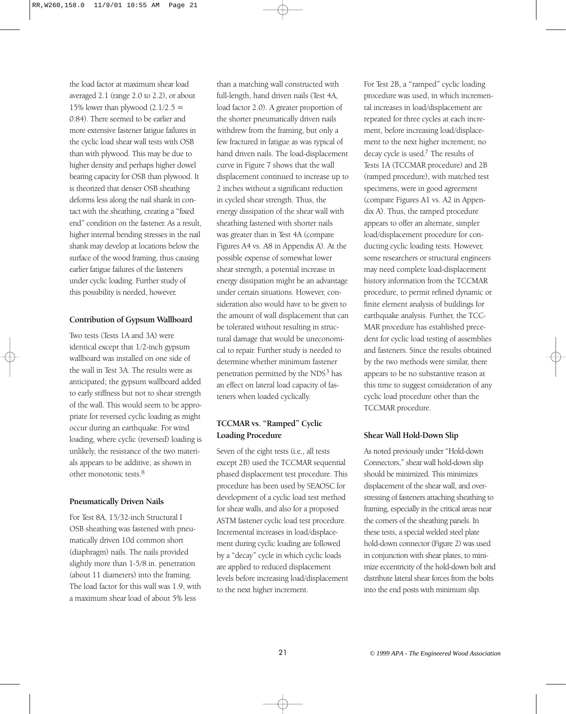the load factor at maximum shear load averaged 2.1 (range 2.0 to 2.2), or about 15% lower than plywood  $(2.1/2.5 =$ 0.84). There seemed to be earlier and more extensive fastener fatigue failures in the cyclic load shear wall tests with OSB than with plywood. This may be due to higher density and perhaps higher dowel bearing capacity for OSB than plywood. It is theorized that denser OSB sheathing deforms less along the nail shank in contact with the sheathing, creating a "fixed end" condition on the fastener. As a result, higher internal bending stresses in the nail shank may develop at locations below the surface of the wood framing, thus causing earlier fatigue failures of the fasteners under cyclic loading. Further study of this possibility is needed, however.

# **Contribution of Gypsum Wallboard**

Two tests (Tests 1A and 3A) were identical except that 1/2-inch gypsum wallboard was installed on one side of the wall in Test 3A. The results were as anticipated; the gypsum wallboard added to early stiffness but not to shear strength of the wall. This would seem to be appropriate for reversed cyclic loading as might occur during an earthquake. For wind loading, where cyclic (reversed) loading is unlikely, the resistance of the two materials appears to be additive, as shown in other monotonic tests.8

# **Pneumatically Driven Nails**

For Test 8A, 15/32-inch Structural I OSB sheathing was fastened with pneumatically driven 10d common short (diaphragm) nails. The nails provided slightly more than 1-5/8 in. penetration (about 11 diameters) into the framing. The load factor for this wall was 1.9, with a maximum shear load of about 5% less

than a matching wall constructed with full-length, hand driven nails (Test 4A, load factor 2.0). A greater proportion of the shorter pneumatically driven nails withdrew from the framing, but only a few fractured in fatigue as was typical of hand driven nails. The load-displacement curve in Figure 7 shows that the wall displacement continued to increase up to 2 inches without a significant reduction in cycled shear strength. Thus, the energy dissipation of the shear wall with sheathing fastened with shorter nails was greater than in Test 4A (compare Figures A4 vs. A8 in Appendix A). At the possible expense of somewhat lower shear strength, a potential increase in energy dissipation might be an advantage under certain situations. However, consideration also would have to be given to the amount of wall displacement that can be tolerated without resulting in structural damage that would be uneconomical to repair. Further study is needed to determine whether minimum fastener penetration permitted by the NDS<sup>3</sup> has an effect on lateral load capacity of fasteners when loaded cyclically.

# **TCCMAR vs. "Ramped" Cyclic Loading Procedure**

Seven of the eight tests (i.e., all tests except 2B) used the TCCMAR sequential phased displacement test procedure. This procedure has been used by SEAOSC for development of a cyclic load test method for shear walls, and also for a proposed ASTM fastener cyclic load test procedure. Incremental increases in load/displacement during cyclic loading are followed by a "decay" cycle in which cyclic loads are applied to reduced displacement levels before increasing load/displacement to the next higher increment.

For Test 2B, a "ramped" cyclic loading procedure was used, in which incremental increases in load/displacement are repeated for three cycles at each increment, before increasing load/displacement to the next higher increment; no decay cycle is used.7 The results of Tests 1A (TCCMAR procedure) and 2B (ramped procedure), with matched test specimens, were in good agreement (compare Figures A1 vs. A2 in Appendix A). Thus, the ramped procedure appears to offer an alternate, simpler load/displacement procedure for conducting cyclic loading tests. However, some researchers or structural engineers may need complete load-displacement history information from the TCCMAR procedure, to permit refined dynamic or finite element analysis of buildings for earthquake analysis. Further, the TCC-MAR procedure has established precedent for cyclic load testing of assemblies and fasteners. Since the results obtained by the two methods were similar, there appears to be no substantive reason at this time to suggest consideration of any cyclic load procedure other than the TCCMAR procedure.

# **Shear Wall Hold-Down Slip**

As noted previously under "Hold-down Connectors," shear wall hold-down slip should be minimized. This minimizes displacement of the shear wall, and overstressing of fasteners attaching sheathing to framing, especially in the critical areas near the corners of the sheathing panels. In these tests, a special welded steel plate hold-down connector (Figure 2) was used in conjunction with shear plates, to minimize eccentricity of the hold-down bolt and distribute lateral shear forces from the bolts into the end posts with minimum slip.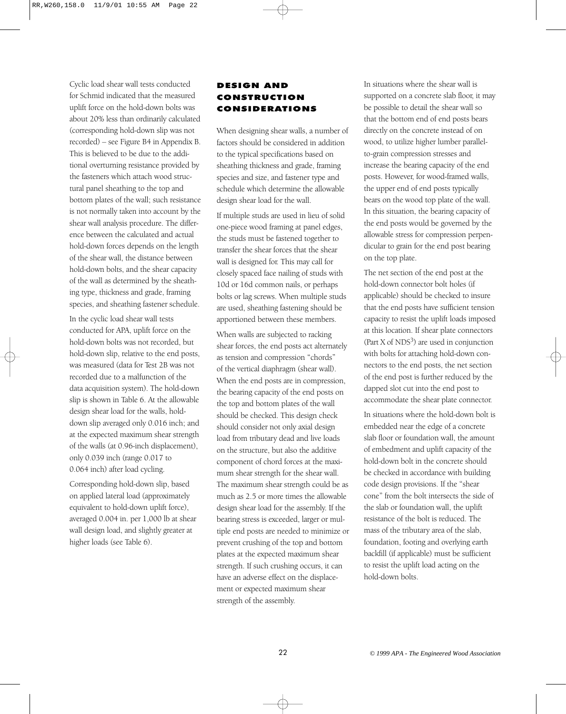Cyclic load shear wall tests conducted for Schmid indicated that the measured uplift force on the hold-down bolts was about 20% less than ordinarily calculated (corresponding hold-down slip was not recorded) – see Figure B4 in Appendix B. This is believed to be due to the additional overturning resistance provided by the fasteners which attach wood structural panel sheathing to the top and bottom plates of the wall; such resistance is not normally taken into account by the shear wall analysis procedure. The difference between the calculated and actual hold-down forces depends on the length of the shear wall, the distance between hold-down bolts, and the shear capacity of the wall as determined by the sheathing type, thickness and grade, framing species, and sheathing fastener schedule.

In the cyclic load shear wall tests conducted for APA, uplift force on the hold-down bolts was not recorded, but hold-down slip, relative to the end posts, was measured (data for Test 2B was not recorded due to a malfunction of the data acquisition system). The hold-down slip is shown in Table 6. At the allowable design shear load for the walls, holddown slip averaged only 0.016 inch; and at the expected maximum shear strength of the walls (at 0.96-inch displacement), only 0.039 inch (range 0.017 to 0.064 inch) after load cycling.

Corresponding hold-down slip, based on applied lateral load (approximately equivalent to hold-down uplift force), averaged 0.004 in. per 1,000 lb at shear wall design load, and slightly greater at higher loads (see Table 6).

# DESIGN AND CONSTRUCTION CONSIDERATIONS

When designing shear walls, a number of factors should be considered in addition to the typical specifications based on sheathing thickness and grade, framing species and size, and fastener type and schedule which determine the allowable design shear load for the wall.

If multiple studs are used in lieu of solid one-piece wood framing at panel edges, the studs must be fastened together to transfer the shear forces that the shear wall is designed for. This may call for closely spaced face nailing of studs with 10d or 16d common nails, or perhaps bolts or lag screws. When multiple studs are used, sheathing fastening should be apportioned between these members.

When walls are subjected to racking shear forces, the end posts act alternately as tension and compression "chords" of the vertical diaphragm (shear wall). When the end posts are in compression, the bearing capacity of the end posts on the top and bottom plates of the wall should be checked. This design check should consider not only axial design load from tributary dead and live loads on the structure, but also the additive component of chord forces at the maximum shear strength for the shear wall. The maximum shear strength could be as much as 2.5 or more times the allowable design shear load for the assembly. If the bearing stress is exceeded, larger or multiple end posts are needed to minimize or prevent crushing of the top and bottom plates at the expected maximum shear strength. If such crushing occurs, it can have an adverse effect on the displacement or expected maximum shear strength of the assembly.

In situations where the shear wall is supported on a concrete slab floor, it may be possible to detail the shear wall so that the bottom end of end posts bears directly on the concrete instead of on wood, to utilize higher lumber parallelto-grain compression stresses and increase the bearing capacity of the end posts. However, for wood-framed walls, the upper end of end posts typically bears on the wood top plate of the wall. In this situation, the bearing capacity of the end posts would be governed by the allowable stress for compression perpendicular to grain for the end post bearing on the top plate.

The net section of the end post at the hold-down connector bolt holes (if applicable) should be checked to insure that the end posts have sufficient tension capacity to resist the uplift loads imposed at this location. If shear plate connectors (Part  $X$  of NDS<sup>3</sup>) are used in conjunction with bolts for attaching hold-down connectors to the end posts, the net section of the end post is further reduced by the dapped slot cut into the end post to accommodate the shear plate connector.

In situations where the hold-down bolt is embedded near the edge of a concrete slab floor or foundation wall, the amount of embedment and uplift capacity of the hold-down bolt in the concrete should be checked in accordance with building code design provisions. If the "shear cone" from the bolt intersects the side of the slab or foundation wall, the uplift resistance of the bolt is reduced. The mass of the tributary area of the slab, foundation, footing and overlying earth backfill (if applicable) must be sufficient to resist the uplift load acting on the hold-down bolts.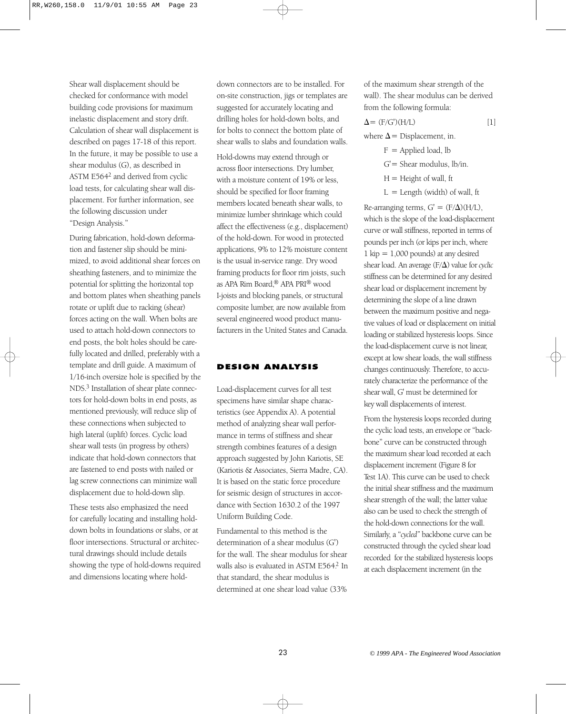Shear wall displacement should be checked for conformance with model building code provisions for maximum inelastic displacement and story drift. Calculation of shear wall displacement is described on pages 17-18 of this report. In the future, it may be possible to use a shear modulus (G), as described in ASTM E5642 and derived from cyclic load tests, for calculating shear wall displacement. For further information, see the following discussion under "Design Analysis."

During fabrication, hold-down deformation and fastener slip should be minimized, to avoid additional shear forces on sheathing fasteners, and to minimize the potential for splitting the horizontal top and bottom plates when sheathing panels rotate or uplift due to racking (shear) forces acting on the wall. When bolts are used to attach hold-down connectors to end posts, the bolt holes should be carefully located and drilled, preferably with a template and drill guide. A maximum of 1/16-inch oversize hole is specified by the NDS.3 Installation of shear plate connectors for hold-down bolts in end posts, as mentioned previously, will reduce slip of these connections when subjected to high lateral (uplift) forces. Cyclic load shear wall tests (in progress by others) indicate that hold-down connectors that are fastened to end posts with nailed or lag screw connections can minimize wall displacement due to hold-down slip.

These tests also emphasized the need for carefully locating and installing holddown bolts in foundations or slabs, or at floor intersections. Structural or architectural drawings should include details showing the type of hold-downs required and dimensions locating where hold-

down connectors are to be installed. For on-site construction, jigs or templates are suggested for accurately locating and drilling holes for hold-down bolts, and for bolts to connect the bottom plate of shear walls to slabs and foundation walls.

Hold-downs may extend through or across floor intersections. Dry lumber, with a moisture content of 19% or less, should be specified for floor framing members located beneath shear walls, to minimize lumber shrinkage which could affect the effectiveness (e.g., displacement) of the hold-down. For wood in protected applications, 9% to 12% moisture content is the usual in-service range. Dry wood framing products for floor rim joists, such as APA Rim Board,® APA PRI® wood I-joists and blocking panels, or structural composite lumber, are now available from several engineered wood product manufacturers in the United States and Canada.

### DESIGN ANALYSIS

Load-displacement curves for all test specimens have similar shape characteristics (see Appendix A). A potential method of analyzing shear wall performance in terms of stiffness and shear strength combines features of a design approach suggested by John Kariotis, SE (Kariotis & Associates, Sierra Madre, CA). It is based on the static force procedure for seismic design of structures in accordance with Section 1630.2 of the 1997 Uniform Building Code.

Fundamental to this method is the determination of a shear modulus (G') for the wall. The shear modulus for shear walls also is evaluated in ASTM E564.<sup>2</sup> In that standard, the shear modulus is determined at one shear load value (33%

of the maximum shear strength of the wall). The shear modulus can be derived from the following formula:

$$
\Delta = (F/G')(H/L) \tag{1}
$$

where  $\Delta$  = Displacement, in.

- $F =$  Applied load, lb  $G'$  = Shear modulus, lb/in.  $H =$  Height of wall, ft
	- $L =$  Length (width) of wall, ft

Re-arranging terms,  $G' = (F/\Delta)(H/L)$ , which is the slope of the load-displacement curve or wall stiffness, reported in terms of pounds per inch (or kips per inch, where  $1$  kip  $= 1,000$  pounds) at any desired shear load. An average (F/ $\Delta$ ) value for *cyclic* stiffness can be determined for any desired shear load or displacement increment by determining the slope of a line drawn between the maximum positive and negative values of load or displacement on initial loading or stabilized hysteresis loops. Since the load-displacement curve is not linear, except at low shear loads, the wall stiffness changes continuously. Therefore, to accurately characterize the performance of the shear wall, G' must be determined for key wall displacements of interest.

From the hysteresis loops recorded during the cyclic load tests, an envelope or "backbone" curve can be constructed through the maximum shear load recorded at each displacement increment (Figure 8 for Test 1A). This curve can be used to check the initial shear stiffness and the maximum shear strength of the wall; the latter value also can be used to check the strength of the hold-down connections for the wall. Similarly, a "*cycled"* backbone curve can be constructed through the cycled shear load recorded for the stabilized hysteresis loops at each displacement increment (in the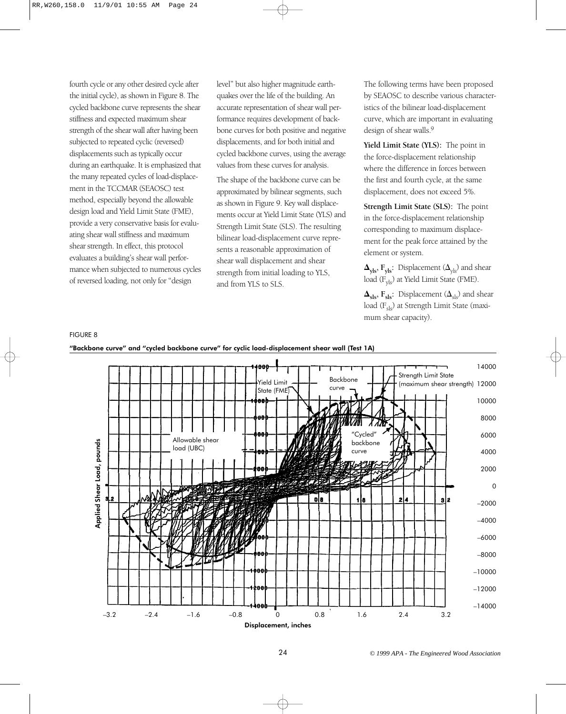fourth cycle or any other desired cycle after the initial cycle), as shown in Figure 8. The cycled backbone curve represents the shear stiffness and expected maximum shear strength of the shear wall after having been subjected to repeated cyclic (reversed) displacements such as typically occur during an earthquake. It is emphasized that the many repeated cycles of load-displacement in the TCCMAR (SEAOSC) test method, especially beyond the allowable design load and Yield Limit State (FME), provide a very conservative basis for evaluating shear wall stiffness and maximum shear strength. In effect, this protocol evaluates a building's shear wall performance when subjected to numerous cycles of reversed loading, not only for "design

level" but also higher magnitude earthquakes over the life of the building. An accurate representation of shear wall performance requires development of backbone curves for both positive and negative displacements, and for both initial and cycled backbone curves, using the average values from these curves for analysis.

The shape of the backbone curve can be approximated by bilinear segments, such as shown in Figure 9. Key wall displacements occur at Yield Limit State (YLS) and Strength Limit State (SLS). The resulting bilinear load-displacement curve represents a reasonable approximation of shear wall displacement and shear strength from initial loading to YLS, and from YLS to SLS.

The following terms have been proposed by SEAOSC to describe various characteristics of the bilinear load-displacement curve, which are important in evaluating design of shear walls.<sup>9</sup>

**Yield Limit State (YLS):** The point in the force-displacement relationship where the difference in forces between the first and fourth cycle, at the same displacement, does not exceed 5%.

**Strength Limit State (SLS):** The point in the force-displacement relationship corresponding to maximum displacement for the peak force attained by the element or system.

 $\Delta_{\rm yls}$ ,  $\rm F_{yls}$ : Displacement ( $\rm \Delta_{yls}$ ) and shear load (Fyls) at Yield Limit State (FME).

 $\mathbf{\Delta}_{\mathbf{s}\mathbf{l}\mathbf{s}}$ ,  $\mathbf{F}_{\mathbf{s}\mathbf{l}\mathbf{s}}$ : Displacement  $(\mathbf{\Delta}_{\mathbf{s}\mathbf{l}\mathbf{s}})$  and shear  $load (F_{sls})$  at Strength Limit State (maximum shear capacity).



# FIGURE 8 "Backbone curve" and "cycled backbone curve" for cyclic load-displacement shear wall (Test 1A)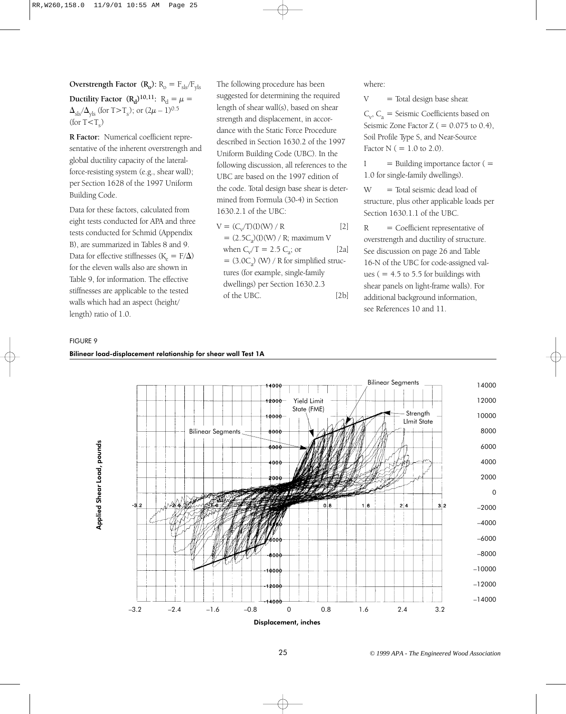**Overstrength Factor**  $(R_0)$ :  $R_0 = F_{sls}/F_{vls}$ **Ductility Factor**  $(R_d)^{10,11}$ :  $R_d = \mu$  $\Delta_{\rm sls}/\Delta_{\rm yls}$  (for T>T<sub>s</sub>); or  $(2\mu - 1)^{0.5}$ (for  $T < T_c$ )

**R Factor:** Numerical coefficient representative of the inherent overstrength and global ductility capacity of the lateralforce-resisting system (e.g., shear wall); per Section 1628 of the 1997 Uniform Building Code.

Data for these factors, calculated from eight tests conducted for APA and three tests conducted for Schmid (Appendix B), are summarized in Tables 8 and 9. Data for effective stiffnesses ( $K_e = F/\Delta$ ) for the eleven walls also are shown in Table 9, for information. The effective stiffnesses are applicable to the tested walls which had an aspect (height/ length) ratio of 1.0.

The following procedure has been suggested for determining the required length of shear wall(s), based on shear strength and displacement, in accordance with the Static Force Procedure described in Section 1630.2 of the 1997 Uniform Building Code (UBC). In the following discussion, all references to the UBC are based on the 1997 edition of the code. Total design base shear is determined from Formula (30-4) in Section 1630.2.1 of the UBC:

$$
V = (C_v/T)(I)(W) / R
$$
 [2]  
= (2.5C<sub>a</sub>)(I)(W) / R; maximum V  
when C<sub>v</sub>/T = 2.5 C<sub>a</sub>; or [2a]  
= (3.0C<sub>a</sub>) (W) / R for simplified struc-  
tures (for example, single-family  
dwellings) per Section 1630.2.3  
of the UBC. [2b]

where:

 $V =$ Total design base shear.

 $C_v$ ,  $C_a$  = Seismic Coefficients based on Seismic Zone Factor Z ( $= 0.075$  to 0.4), Soil Profile Type S, and Near-Source Factor  $N$  ( = 1.0 to 2.0).

 $I =$  Building importance factor  $( =$ 1.0 for single-family dwellings).

W = Total seismic dead load of structure, plus other applicable loads per Section 1630.1.1 of the UBC.

 $R = Coefficient representative of$ overstrength and ductility of structure. See discussion on page 26 and Table 16-N of the UBC for code-assigned values ( $= 4.5$  to 5.5 for buildings with shear panels on light-frame walls). For additional background information, see References 10 and 11.

#### FIGURE 9

#### Bilinear load-displacement relationship for shear wall Test 1A

Applied Shear Load, pounds Applied Shear Load, pounds

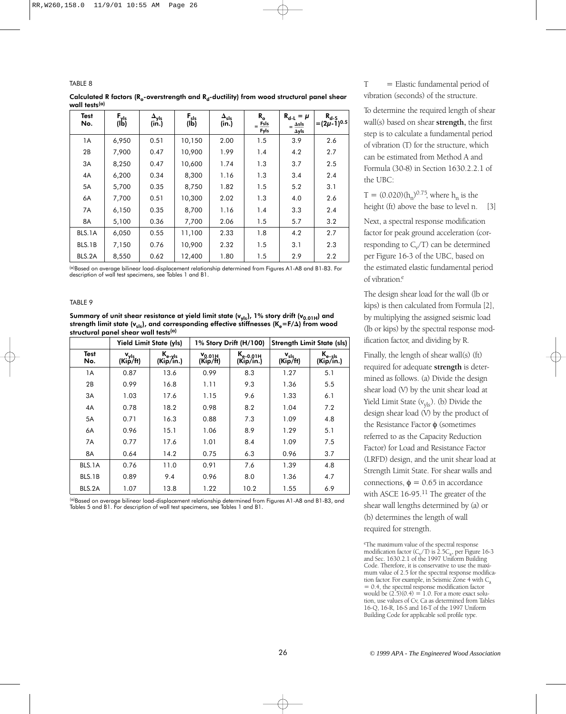TABLE 8

| Calculated R factors ( $R_{o}$ -overstrength and $R_{d}$ -ductility) from wood structural panel shear |  |  |  |
|-------------------------------------------------------------------------------------------------------|--|--|--|
| wall tests <sup>(a)</sup>                                                                             |  |  |  |

| <b>Test</b> | $F_{\gamma l s}$ | $\mathbf{A}_{\mathsf{yls}}$ | $F_{sls}$ | $\Delta_{sls}$ | $\mathbf{R}_{\rm o}$    | $R_{d-L} = \mu$                 | $R_{d-S}$          |
|-------------|------------------|-----------------------------|-----------|----------------|-------------------------|---------------------------------|--------------------|
| No.         | (lb)             | (in.)                       | (Ib)      | (in.)          | $=$ FsIs<br><b>Fyls</b> | $=$ $\Delta$ sls<br><b>Ayls</b> | $=(2\mu -1)^{0.5}$ |
| 1A          | 6,950            | 0.51                        | 10,150    | 2.00           | 1.5                     | 3.9                             | 2.6                |
| 2B          | 7,900            | 0.47                        | 10,900    | 1.99           | 1.4                     | 4.2                             | 2.7                |
| 3A          | 8,250            | 0.47                        | 10,600    | 1.74           | 1.3                     | 3.7                             | 2.5                |
| 4A          | 6,200            | 0.34                        | 8,300     | 1.16           | 1.3                     | 3.4                             | 2.4                |
| 5A          | 5,700            | 0.35                        | 8,750     | 1.82           | 1.5                     | 5.2                             | 3.1                |
| 6A          | 7,700            | 0.51                        | 10,300    | 2.02           | 1.3                     | 4.0                             | 2.6                |
| 7A          | 6,150            | 0.35                        | 8,700     | 1.16           | 1.4                     | 3.3                             | 2.4                |
| 8A          | 5,100            | 0.36                        | 7,700     | 2.06           | 1.5                     | 5.7                             | 3.2                |
| BLS.1A      | 6,050            | 0.55                        | 11,100    | 2.33           | 1.8                     | 4.2                             | 2.7                |
| BLS.1B      | 7,150            | 0.76                        | 10,900    | 2.32           | 1.5                     | 3.1                             | 2.3                |
| BLS.2A      | 8,550            | 0.62                        | 12,400    | 1.80           | 1.5                     | 2.9                             | 2.2                |

(a)Based on average bilinear load-displacement relationship determined from Figures A1-A8 and B1-B3. For description of wall test specimens, see Tables 1 and B1.

#### TABLE 9

Summary of unit shear resistance at yield limit state  $(v_{y|s})$ , 1% story drift  $(v_{0.01H})$  and strength limit state (v<sub>sls</sub>), and corresponding effective stiffnesses (K<sub>e</sub>=F/Δ) from wood structural panel shear wall tests<sup>(a)</sup>

|             |                              | <b>Yield Limit State (yls)</b> |                         | 1% Story Drift (H/100)     | <b>Strength Limit State (sls)</b> |                                 |  |  |
|-------------|------------------------------|--------------------------------|-------------------------|----------------------------|-----------------------------------|---------------------------------|--|--|
| Test<br>No. | v <sub>yls</sub><br>(Kip/ft) | $K_{e-yls}$<br>(Kip/in.)       | $V_{0.01H}$<br>(Kip/ft) | $K_{e-0.01H}$<br>(Kip/in.) | $V_{sls}$<br>(Kip/ft)             | K <sub>e-sls</sub><br>(Kip/in.) |  |  |
| 1A          | 0.87                         | 13.6                           | 0.99                    | 8.3                        | 1.27                              | 5.1                             |  |  |
| 2B          | 0.99                         | 16.8                           | 1.11                    | 9.3                        | 1.36                              | 5.5                             |  |  |
| 3A          | 1.03                         | 17.6                           | 1.15                    | 9.6                        | 1.33                              | 6.1                             |  |  |
| 4A          | 0.78                         | 18.2                           | 0.98                    | 8.2                        | 1.04                              | 7.2                             |  |  |
| 5A          | 0.71                         | 16.3                           | 0.88                    | 7.3                        | 1.09                              | 4.8                             |  |  |
| 6A          | 0.96                         | 15.1                           | 1.06                    | 8.9                        | 1.29                              | 5.1                             |  |  |
| 7A          | 0.77                         | 17.6                           | 1.01                    | 8.4                        | 1.09                              | 7.5                             |  |  |
| 8A          | 0.64                         | 14.2                           | 0.75                    | 6.3                        | 0.96                              | 3.7                             |  |  |
| BLS.1A      | 0.76                         | 11.0                           | 0.91                    | 7.6                        | 1.39                              | 4.8                             |  |  |
| BLS.1B      | 0.89                         | 9.4                            | 0.96                    | 8.0                        | 1.36                              | 4.7                             |  |  |
| BLS.2A      | 1.07                         | 13.8                           | 1.22                    | 10.2                       | 1.55                              | 6.9                             |  |  |

(a)Based on average bilinear load-displacement relationship determined from Figures A1-A8 and B1-B3, and Tables 5 and B1. For description of wall test specimens, see Tables 1 and B1.

 $T =$  Elastic fundamental period of vibration (seconds) of the structure.

To determine the required length of shear wall(s) based on shear **strength,** the first step is to calculate a fundamental period of vibration (T) for the structure, which can be estimated from Method A and Formula (30-8) in Section 1630.2.2.1 of the UBC:

T =  $(0.020)(h_n)^{0.75}$ , where  $h_n$  is the height (ft) above the base to level n. [3]

Next, a spectral response modification factor for peak ground acceleration (corresponding to  $C_v/T$ ) can be determined per Figure 16-3 of the UBC, based on the estimated elastic fundamental period of vibration.<sup>e</sup>

The design shear load for the wall (lb or kips) is then calculated from Formula [2], by multiplying the assigned seismic load (lb or kips) by the spectral response modification factor, and dividing by R.

Finally, the length of shear wall(s) (ft) required for adequate **strength** is determined as follows. (a) Divide the design shear load (V) by the unit shear load at Yield Limit State (v<sub>yls</sub>). (b) Divide the design shear load (V) by the product of the Resistance Factor φ (sometimes referred to as the Capacity Reduction Factor) for Load and Resistance Factor (LRFD) design, and the unit shear load at Strength Limit State. For shear walls and connections,  $\phi = 0.65$  in accordance with ASCE 16-95.<sup>11</sup> The greater of the shear wall lengths determined by (a) or (b) determines the length of wall required for strength.

eThe maximum value of the spectral response modification factor  $(C_v/T)$  is 2.5 $C_a$ , per Figure 16-3 and Sec. 1630.2.1 of the 1997 Uniform Building Code. Therefore, it is conservative to use the maximum value of 2.5 for the spectral response modification factor. For example, in Seismic Zone 4 with  $C_{a}$ = 0.4, the spectral response modification factor would be  $(2.5)(0.4) = 1.0$ . For a more exact solution, use values of Cv, Ca as determined from Tables 16-Q, 16-R, 16-S and 16-T of the 1997 Uniform Building Code for applicable soil profile type.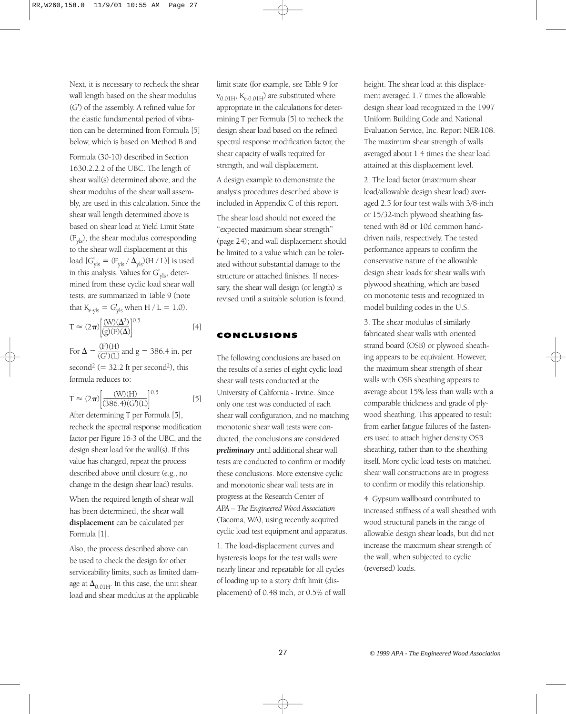Next, it is necessary to recheck the shear wall length based on the shear modulus (G') of the assembly. A refined value for the elastic fundamental period of vibration can be determined from Formula [5] below, which is based on Method B and

Formula (30-10) described in Section 1630.2.2.2 of the UBC. The length of shear wall(s) determined above, and the shear modulus of the shear wall assembly, are used in this calculation. Since the shear wall length determined above is based on shear load at Yield Limit State  $(F_{\text{vls}})$ , the shear modulus corresponding to the shear wall displacement at this  $\text{load}$   $[G'_{yls} = (F_{yls} / \Delta_{yls})(H / L)]$  is used in this analysis. Values for  $G'_{\text{vis}}$ , determined from these cyclic load shear wall tests, are summarized in Table 9 (note that  $K_{e-yls} = G'_{yls}$  when H / L = 1.0).

$$
T \approx (2\pi) \left[ \frac{(W)(\Delta^2)}{(g)(F)(\Delta)} \right]^{0.5}
$$
 [4]

For  $\Delta = \frac{(F)(H)}{(G')(L)}$  and  $g = 386.4$  in. per second<sup>2</sup> (=  $32.2$  ft per second<sup>2</sup>), this formula reduces to:

$$
T \approx (2\pi) \left[ \frac{(W)(H)}{(386.4)(G)(L)} \right]^{0.5}
$$
 [5]

After determining T per Formula [5], recheck the spectral response modification factor per Figure 16-3 of the UBC, and the design shear load for the wall(s). If this value has changed, repeat the process described above until closure (e.g., no change in the design shear load) results.

When the required length of shear wall has been determined, the shear wall **displacement** can be calculated per Formula [1].

Also, the process described above can be used to check the design for other serviceability limits, such as limited damage at  $\Delta_{0.01\text{H}}$ . In this case, the unit shear load and shear modulus at the applicable

limit state (for example, see Table 9 for  $v_{0.01H}$ ,  $K_{e-0.01H}$ ) are substituted where appropriate in the calculations for determining T per Formula [5] to recheck the design shear load based on the refined spectral response modification factor, the shear capacity of walls required for strength, and wall displacement.

A design example to demonstrate the analysis procedures described above is included in Appendix C of this report.

The shear load should not exceed the "expected maximum shear strength" (page 24); and wall displacement should be limited to a value which can be tolerated without substantial damage to the structure or attached finishes. If necessary, the shear wall design (or length) is revised until a suitable solution is found.

# CONCLUSIONS

The following conclusions are based on the results of a series of eight cyclic load shear wall tests conducted at the University of California - Irvine. Since only one test was conducted of each shear wall configuration, and no matching monotonic shear wall tests were conducted, the conclusions are considered *preliminary* until additional shear wall tests are conducted to confirm or modify these conclusions. More extensive cyclic and monotonic shear wall tests are in progress at the Research Center of *APA – The Engineered Wood Association* (Tacoma, WA), using recently acquired cyclic load test equipment and apparatus.

1. The load-displacement curves and hysteresis loops for the test walls were nearly linear and repeatable for all cycles of loading up to a story drift limit (displacement) of 0.48 inch, or 0.5% of wall height. The shear load at this displacement averaged 1.7 times the allowable design shear load recognized in the 1997 Uniform Building Code and National Evaluation Service, Inc. Report NER-108. The maximum shear strength of walls averaged about 1.4 times the shear load attained at this displacement level.

2. The load factor (maximum shear load/allowable design shear load) averaged 2.5 for four test walls with 3/8-inch or 15/32-inch plywood sheathing fastened with 8d or 10d common handdriven nails, respectively. The tested performance appears to confirm the conservative nature of the allowable design shear loads for shear walls with plywood sheathing, which are based on monotonic tests and recognized in model building codes in the U.S.

3. The shear modulus of similarly fabricated shear walls with oriented strand board (OSB) or plywood sheathing appears to be equivalent. However, the maximum shear strength of shear walls with OSB sheathing appears to average about 15% less than walls with a comparable thickness and grade of plywood sheathing. This appeared to result from earlier fatigue failures of the fasteners used to attach higher density OSB sheathing, rather than to the sheathing itself. More cyclic load tests on matched shear wall constructions are in progress to confirm or modify this relationship.

4. Gypsum wallboard contributed to increased stiffness of a wall sheathed with wood structural panels in the range of allowable design shear loads, but did not increase the maximum shear strength of the wall, when subjected to cyclic (reversed) loads.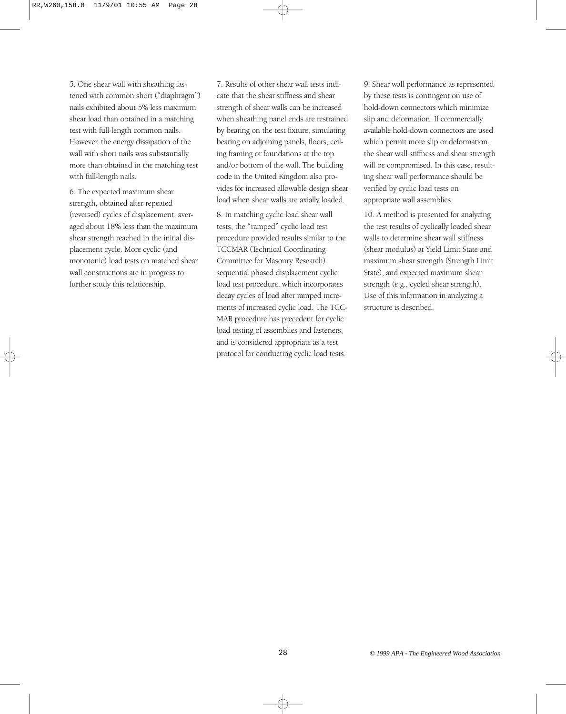5. One shear wall with sheathing fastened with common short ("diaphragm") nails exhibited about 5% less maximum shear load than obtained in a matching test with full-length common nails. However, the energy dissipation of the wall with short nails was substantially more than obtained in the matching test with full-length nails.

6. The expected maximum shear strength, obtained after repeated (reversed) cycles of displacement, averaged about 18% less than the maximum shear strength reached in the initial displacement cycle. More cyclic (and monotonic) load tests on matched shear wall constructions are in progress to further study this relationship.

7. Results of other shear wall tests indicate that the shear stiffness and shear strength of shear walls can be increased when sheathing panel ends are restrained by bearing on the test fixture, simulating bearing on adjoining panels, floors, ceiling framing or foundations at the top and/or bottom of the wall. The building code in the United Kingdom also provides for increased allowable design shear load when shear walls are axially loaded.

8. In matching cyclic load shear wall tests, the "ramped" cyclic load test procedure provided results similar to the TCCMAR (Technical Coordinating Committee for Masonry Research) sequential phased displacement cyclic load test procedure, which incorporates decay cycles of load after ramped increments of increased cyclic load. The TCC-MAR procedure has precedent for cyclic load testing of assemblies and fasteners, and is considered appropriate as a test protocol for conducting cyclic load tests.

9. Shear wall performance as represented by these tests is contingent on use of hold-down connectors which minimize slip and deformation. If commercially available hold-down connectors are used which permit more slip or deformation, the shear wall stiffness and shear strength will be compromised. In this case, resulting shear wall performance should be verified by cyclic load tests on appropriate wall assemblies.

10. A method is presented for analyzing the test results of cyclically loaded shear walls to determine shear wall stiffness (shear modulus) at Yield Limit State and maximum shear strength (Strength Limit State), and expected maximum shear strength (e.g., cycled shear strength). Use of this information in analyzing a structure is described.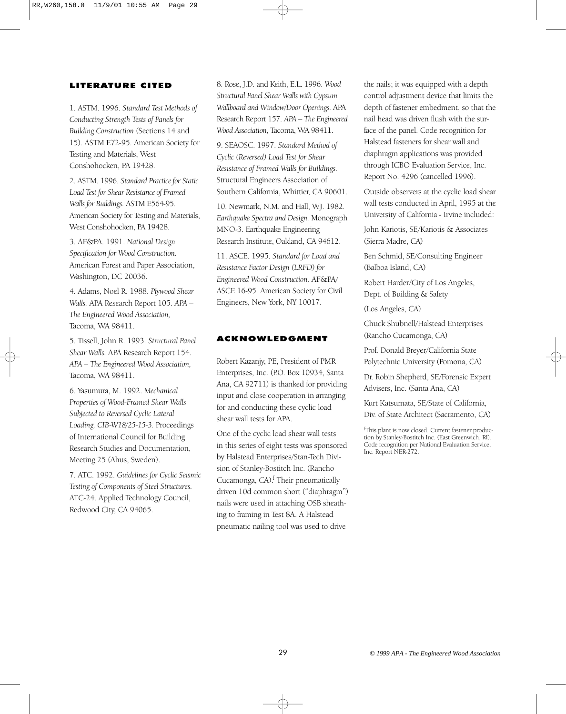# LITERATURE CITED

1. ASTM. 1996. *Standard Test Methods of Conducting Strength Tests of Panels for Building Construction* (Sections 14 and 15). ASTM E72-95. American Society for Testing and Materials, West Conshohocken, PA 19428.

2. ASTM. 1996. *Standard Practice for Static Load Test for Shear Resistance of Framed Walls for Buildings.* ASTM E564-95. American Society for Testing and Materials, West Conshohocken, PA 19428.

3. AF&PA. 1991. *National Design Specification for Wood Construction.* American Forest and Paper Association, Washington, DC 20036.

4. Adams, Noel R. 1988. *Plywood Shear Walls.* APA Research Report 105. *APA – The Engineered Wood Association,* Tacoma, WA 98411.

5. Tissell, John R. 1993. *Structural Panel Shear Walls.* APA Research Report 154. *APA – The Engineered Wood Association,* Tacoma, WA 98411.

6. Yasumura, M. 1992. *Mechanical Properties of Wood-Framed Shear Walls Subjected to Reversed Cyclic Lateral Loading. CIB-W18/25-15-3.* Proceedings of International Council for Building Research Studies and Documentation, Meeting 25 (Ahus, Sweden).

7. ATC. 1992. *Guidelines for Cyclic Seismic Testing of Components of Steel Structures.* ATC-24. Applied Technology Council, Redwood City, CA 94065.

8. Rose, J.D. and Keith, E.L. 1996. *Wood Structural Panel Shear Walls with Gypsum Wallboard and Window/Door Openings.* APA Research Report 157. *APA – The Engineered Wood Association,* Tacoma, WA 98411.

9. SEAOSC. 1997. *Standard Method of Cyclic (Reversed) Load Test for Shear Resistance of Framed Walls for Buildings.* Structural Engineers Association of Southern California, Whittier, CA 90601.

10. Newmark, N.M. and Hall, W.J. 1982. *Earthquake Spectra and Design.* Monograph MNO-3. Earthquake Engineering Research Institute, Oakland, CA 94612.

11. ASCE. 1995. *Standard for Load and Resistance Factor Design (LRFD) for Engineered Wood Construction.* AF&PA/ ASCE 16-95. American Society for Civil Engineers, New York, NY 10017.

# ACKNOWLEDGMENT

Robert Kazanjy, PE, President of PMR Enterprises, Inc. (P.O. Box 10934, Santa Ana, CA 92711) is thanked for providing input and close cooperation in arranging for and conducting these cyclic load shear wall tests for APA.

One of the cyclic load shear wall tests in this series of eight tests was sponsored by Halstead Enterprises/Stan-Tech Division of Stanley-Bostitch Inc. (Rancho Cucamonga,  $CA$ ).<sup>f</sup> Their pneumatically driven 10d common short ("diaphragm") nails were used in attaching OSB sheathing to framing in Test 8A. A Halstead pneumatic nailing tool was used to drive

the nails; it was equipped with a depth control adjustment device that limits the depth of fastener embedment, so that the nail head was driven flush with the surface of the panel. Code recognition for Halstead fasteners for shear wall and diaphragm applications was provided through ICBO Evaluation Service, Inc. Report No. 4296 (cancelled 1996).

Outside observers at the cyclic load shear wall tests conducted in April, 1995 at the University of California - Irvine included:

John Kariotis, SE/Kariotis & Associates (Sierra Madre, CA)

Ben Schmid, SE/Consulting Engineer (Balboa Island, CA)

Robert Harder/City of Los Angeles, Dept. of Building & Safety

(Los Angeles, CA)

Chuck Shubnell/Halstead Enterprises (Rancho Cucamonga, CA)

Prof. Donald Breyer/California State Polytechnic University (Pomona, CA)

Dr. Robin Shepherd, SE/Forensic Expert Advisers, Inc. (Santa Ana, CA)

Kurt Katsumata, SE/State of California, Div. of State Architect (Sacramento, CA)

f This plant is now closed. Current fastener production by Stanley-Bostitch Inc. (East Greenwich, RI). Code recognition per National Evaluation Service, Inc. Report NER-272.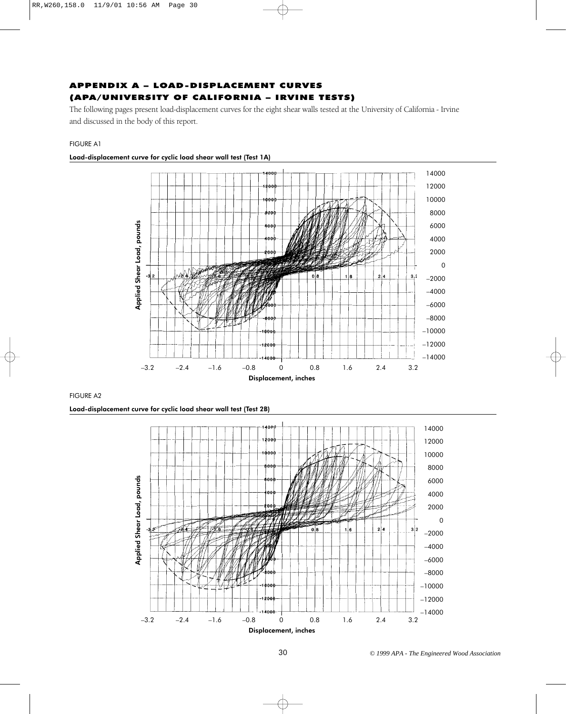# APPENDIX A – LOAD-DISPLACEMENT CURVES (APA/UNIVERSITY OF CALIFORNIA – IRVINE TESTS)

The following pages present load-displacement curves for the eight shear walls tested at the University of California - Irvine and discussed in the body of this report.

#### FIGURE A1



# Load-displacement curve for cyclic load shear wall test (Test 1A)

#### FIGURE A2

Load-displacement curve for cyclic load shear wall test (Test 2B)

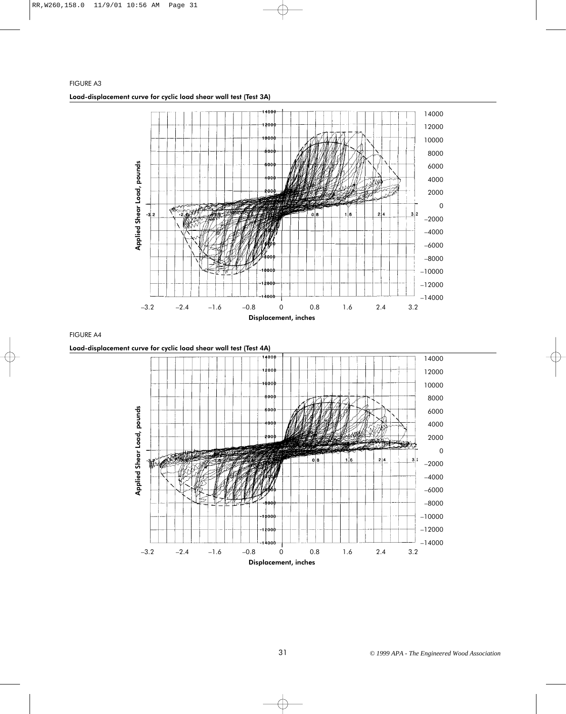

FIGURE A4

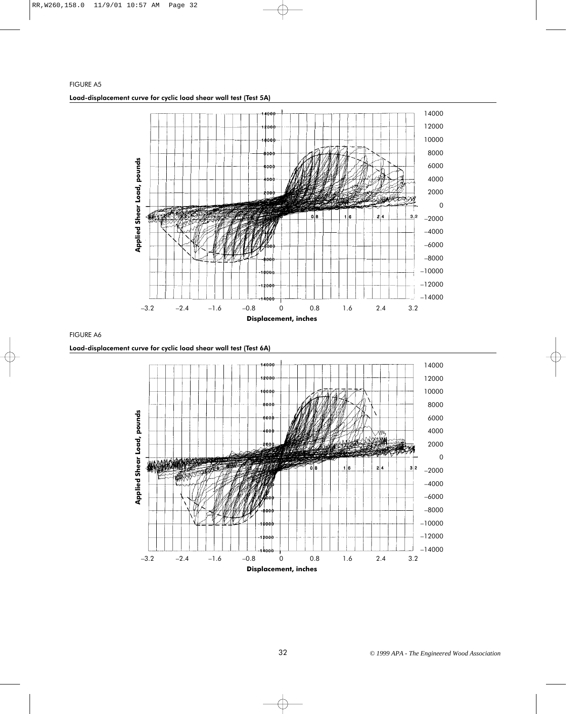

FIGURE A6

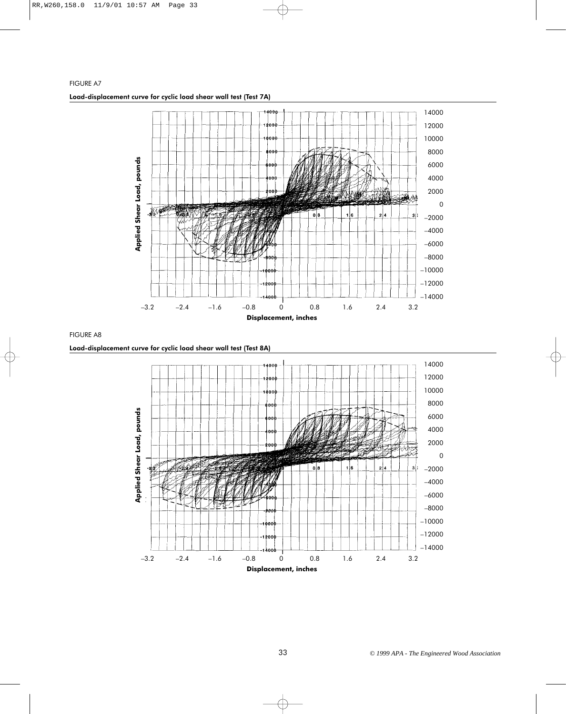

FIGURE A8

Load-displacement curve for cyclic load shear wall test (Test 8A)

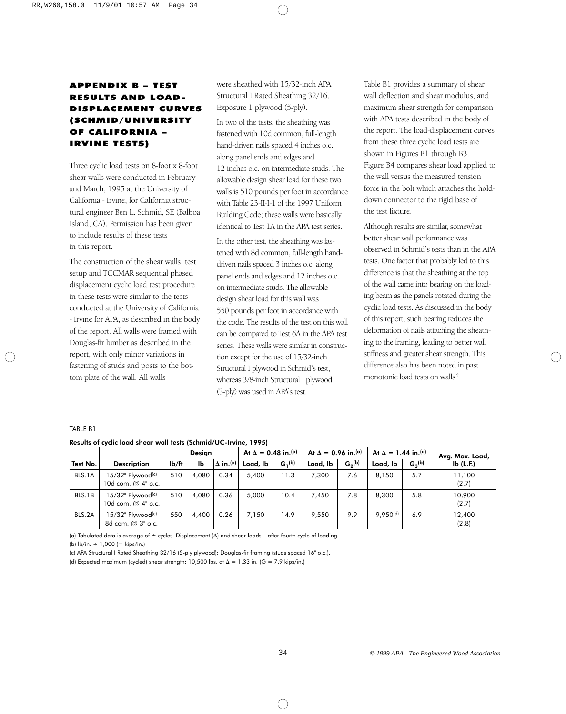# APPENDIX B – TEST RESULTS AND LOAD-DISPLACEMENT CURVES (SCHMID/UNIVERSITY OF CALIFORNIA – IRVINE TESTS)

Three cyclic load tests on 8-foot x 8-foot shear walls were conducted in February and March, 1995 at the University of California - Irvine, for California structural engineer Ben L. Schmid, SE (Balboa Island, CA). Permission has been given to include results of these tests in this report.

The construction of the shear walls, test setup and TCCMAR sequential phased displacement cyclic load test procedure in these tests were similar to the tests conducted at the University of California - Irvine for APA, as described in the body of the report. All walls were framed with Douglas-fir lumber as described in the report, with only minor variations in fastening of studs and posts to the bottom plate of the wall. All walls

were sheathed with 15/32-inch APA Structural I Rated Sheathing 32/16, Exposure 1 plywood (5-ply).

In two of the tests, the sheathing was fastened with 10d common, full-length hand-driven nails spaced 4 inches o.c. along panel ends and edges and 12 inches o.c. on intermediate studs. The allowable design shear load for these two walls is 510 pounds per foot in accordance with Table 23-II-I-1 of the 1997 Uniform Building Code; these walls were basically identical to Test 1A in the APA test series.

In the other test, the sheathing was fastened with 8d common, full-length handdriven nails spaced 3 inches o.c. along panel ends and edges and 12 inches o.c. on intermediate studs. The allowable design shear load for this wall was 550 pounds per foot in accordance with the code. The results of the test on this wall can be compared to Test 6A in the APA test series. These walls were similar in construction except for the use of 15/32-inch Structural I plywood in Schmid's test, whereas 3/8-inch Structural I plywood (3-ply) was used in APA's test.

Table B1 provides a summary of shear wall deflection and shear modulus, and maximum shear strength for comparison with APA tests described in the body of the report. The load-displacement curves from these three cyclic load tests are shown in Figures B1 through B3. Figure B4 compares shear load applied to the wall versus the measured tension force in the bolt which attaches the holddown connector to the rigid base of the test fixture.

Although results are similar, somewhat better shear wall performance was observed in Schmid's tests than in the APA tests. One factor that probably led to this difference is that the sheathing at the top of the wall came into bearing on the loading beam as the panels rotated during the cyclic load tests. As discussed in the body of this report, such bearing reduces the deformation of nails attaching the sheathing to the framing, leading to better wall stiffness and greater shear strength. This difference also has been noted in past monotonic load tests on walls.4

#### TABLE B1

|          |                                                         |                    | <b>Design</b> |                             | At $\Delta = 0.48$ in. <sup>(a)</sup> |                    | At $\Delta = 0.96$ in. <sup>(a)</sup> |             | At $\Delta = 1.44$ in $(a)$ |             | Avg. Max. Load,      |
|----------|---------------------------------------------------------|--------------------|---------------|-----------------------------|---------------------------------------|--------------------|---------------------------------------|-------------|-----------------------------|-------------|----------------------|
| Test No. | <b>Description</b>                                      | I <sub>b</sub> /ft | Ib            | $\Delta$ in. <sup>(a)</sup> | Load, lb                              | G <sub>1</sub> (b) | Load, lb                              | $G_2^{(b)}$ | Load, lb                    | $G_3^{(b)}$ | $I\mathbf{b}$ (L.F.) |
| BLS.1A   | $15/32$ " Plywood <sup>(c)</sup><br>10d com. $@4"$ o.c. | 510                | 4.080         | 0.34                        | 5.400                                 | 11.3               | 7.300                                 | 7.6         | 8,150                       | 5.7         | 11,100<br>(2.7)      |
| BLS.1B   | $15/32$ " Plywood <sup>(c)</sup><br>10d com. $@4"$ o.c. | 510                | 4.080         | 0.36                        | 5.000                                 | 10.4               | 7.450                                 | 7.8         | 8,300                       | 5.8         | 10,900<br>(2.7)      |
| BLS.2A   | $15/32$ " Plywood <sup>(c)</sup><br>8d com. @ 3" o.c.   | 550                | 4.400         | 0.26                        | 7.150                                 | 14.9               | 9.550                                 | 9.9         | 9.950 <sup>(d)</sup>        | 6.9         | 12,400<br>(2.8)      |

#### Results of cyclic load shear wall tests (Schmid/UC-Irvine, 1995)

(a) Tabulated data is average of  $\pm$  cycles. Displacement ( $\Delta$ ) and shear loads – after fourth cycle of loading.

(b)  $\frac{1}{b}$ in. ÷ 1,000 (= kips/in.)

(c) APA Structural I Rated Sheathing 32/16 (5-ply plywood): Douglas-fir framing (studs spaced 16" o.c.).

(d) Expected maximum (cycled) shear strength: 10,500 lbs. at  $\Delta = 1.33$  in. (G = 7.9 kips/in.)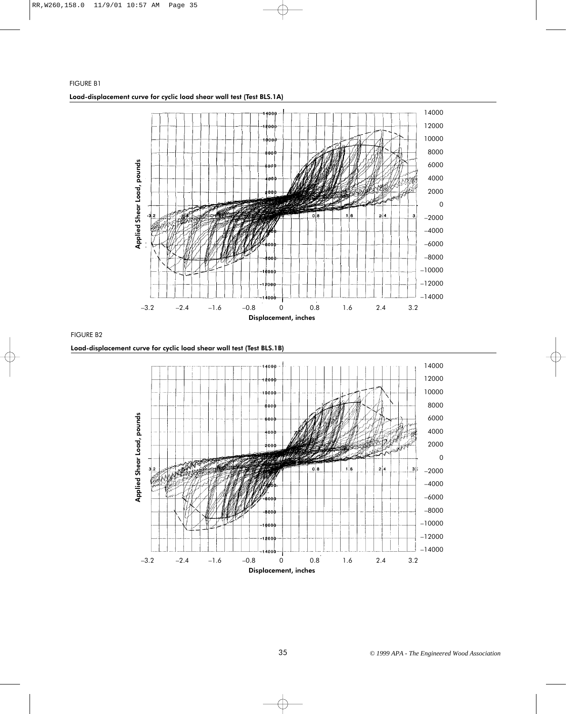

FIGURE B2

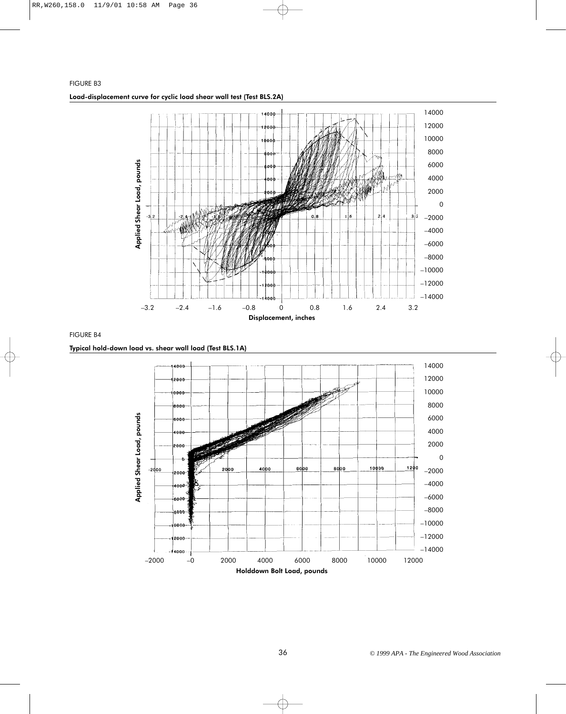

FIGURE B4

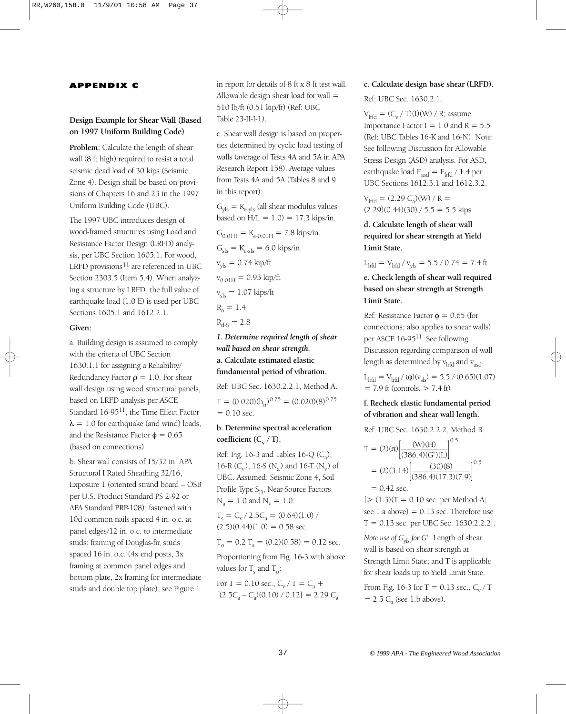#### APPENDIX C

# **Design Example for Shear Wall (Based on 1997 Uniform Building Code)**

Problem: Calculate the length of shear wall (8 ft high) required to resist a total seismic dead load of 30 kips (Seismic Zone 4). Design shall be based on provisions of Chapters 16 and 23 in the 1997 Uniform Building Code (UBC).

The 1997 UBC introduces design of wood-framed structures using Load and Resistance Factor Design (LRFD) analysis, per UBC Section 1605.1. For wood, LRFD provisions<sup>11</sup> are referenced in UBC Section 2303.5 (Item 5.4). When analyzing a structure by LRFD, the full value of earthquake load (1.0 E) is used per UBC Sections 1605.1 and 1612.2.1.

#### **Given:**

a. Building design is assumed to comply with the criteria of UBC Section 1630.1.1 for assigning a Reliability/ Redundancy Factor  $\rho = 1.0$ . For shear wall design using wood structural panels, based on LRFD analysis per ASCE Standard 16-9511, the Time Effect Factor  $\lambda = 1.0$  for earthquake (and wind) loads, and the Resistance Factor  $\phi = 0.65$ (based on connections).

b. Shear wall consists of 15/32 in. APA Structural I Rated Sheathing 32/16, Exposure 1 (oriented strand board – OSB per U.S. Product Standard PS 2-92 or APA Standard PRP-108); fastened with 10d common nails spaced 4 in. o.c. at panel edges/12 in. o.c. to intermediate studs; framing of Douglas-fir, studs spaced 16 in. o.c. (4x end posts, 3x framing at common panel edges and bottom plate, 2x framing for intermediate studs and double top plate); see Figure 1

in report for details of 8 ft x 8 ft test wall. Allowable design shear load for wall  $=$ 510 lb/ft (0.51 kip/ft) (Ref: UBC Table 23-II-I-1).

c. Shear wall design is based on properties determined by cyclic load testing of walls (average of Tests 4A and 5A in APA Research Report 158). Average values from Tests 4A and 5A (Tables 8 and 9 in this report):

 $G_{\text{vls}} = K_{\text{e-vis}}$  (all shear modulus values based on  $H/L = 1.0$  = 17.3 kips/in.  $G_{0.01H} = K_{e-0.01H} = 7.8 \text{ kips/in.}$  $G_{\rm sls} = K_{\rm e-sls} = 6.0 \text{ kips/in.}$  $v_{\text{vis}} = 0.74 \text{ kip/ft}$  $v_{0.01H} = 0.93$  kip/ft  $v_{\rm sls} = 1.07$  kips/ft  $R_0 = 1.4$  $R_{d-S} = 2.8$ 

*1. Determine required length of shear wall based on shear strength.* **a. Calculate estimated elastic fundamental period of vibration.**

Ref: UBC Sec. 1630.2.2.1, Method A.  $T = (0.020)(h_n)^{0.75} = (0.020)(8)^{0.75}$  $= 0.10$  sec.

# **b. Determine spectral acceleration** coefficient  $(C_v / T)$ .

Ref: Fig. 16-3 and Tables 16-Q  $(C_2)$ , 16-R ( $C_v$ ), 16-S (N<sub>a</sub>) and 16-T (N<sub>v</sub>) of UBC. Assumed: Seismic Zone 4, Soil Profile Type  $S_D$ , Near-Source Factors  $N_a = 1.0$  and  $N_v = 1.0$ .

 $T_s = C_v / 2.5C_a = (0.64)(1.0) /$  $(2.5)(0.44)(1.0) = 0.58$  sec.

$$
T_o = 0.2 T_s = (0.2)(0.58) = 0.12
$$
 sec.

Proportioning from Fig. 16-3 with above values for  $T_c$  and  $T_c$ :

For T = 0.10 sec.,  $C_v / T = C_a +$  $[(2.5C_a - C_a)(0.10) / 0.12] = 2.29 C_a$ 

#### **c. Calculate design base shear (LRFD).**

Ref: UBC Sec. 1630.2.1.

 $V<sub>lrfd</sub> = (C<sub>v</sub> / T)(I)(W) / R$ ; assume Importance Factor I =  $1.0$  and R =  $5.5$ (Ref: UBC Tables 16-K and 16-N). Note: See following Discussion for Allowable Stress Design (ASD) analysis. For ASD, earthquake load  $E_{\text{asd}} = E_{\text{lrfd}} / 1.4$  per UBC Sections 1612.3.1 and 1612.3.2.

 $V_{\text{lrfd}} = (2.29 \text{ C}_a)(W) / R =$  $(2.29)(0.44)(30) / 5.5 = 5.5$  kips

**d. Calculate length of shear wall required for shear strength at Yield Limit State.**

 $L_{\text{lrfd}} = V_{\text{lrfd}} / v_{\text{vls}} = 5.5 / 0.74 = 7.4 \text{ ft}$ 

**e. Check length of shear wall required based on shear strength at Strength Limit State.**

Ref: Resistance Factor  $\phi = 0.65$  (for connections; also applies to shear walls) per ASCE 16-9511. See following Discussion regarding comparison of wall length as determined by  $v<sub>lrfd</sub>$  and  $v<sub>asd</sub>$ .

L<sub>lrfd</sub> = V<sub>lrfd</sub> / (φ)(v<sub>sls</sub>) = 5.5 / (0.65)(1.07)  $= 7.9$  ft (controls,  $> 7.4$  ft)

# **f. Recheck elastic fundamental period of vibration and shear wall length.**

Ref: UBC Sec. 1630.2.2.2, Method B.

$$
T = (2)(\pi) \left[ \frac{(W)(H)}{(386.4)(G')(L)} \right]^{0.5}
$$
  
= (2)(3.14)  $\left[ \frac{(30)(8)}{(386.4)(17.3)(7.9)} \right]^{0.5}$   
= 0.42 sec.

 $[>(1.3)(T = 0.10 \text{ sec.} \text{ per Method A})]$ see 1.a above)  $= 0.13$  sec. Therefore use  $T = 0.13$  sec. per UBC Sec. 1630.2.2.2].

*Note use of Gyls for G*′. Length of shear wall is based on shear strength at Strength Limit State; and T is applicable for shear loads up to Yield Limit State.

From Fig. 16-3 for T = 0.13 sec.,  $C_v/T$  $= 2.5$  C<sub>a</sub> (see 1.b above).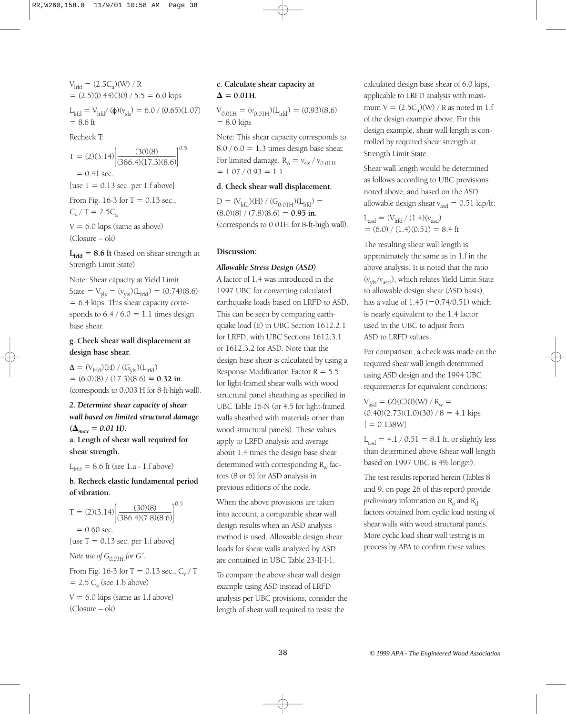$V_{\text{lrfd}} = (2.5 C_a)(W) / R$  $= (2.5)(0.44)(30) / 5.5 = 6.0$  kips

L<sub>lrfd</sub> = V<sub>lrfd</sub>/ (φ)(v<sub>sls</sub>) = 6.0 / (0.65)(1.07)  $= 8.6$  ft

Recheck T:

 $T = (2)(3.14) \left[ \frac{(30)(8)}{(386.4)(17.3)(8.6)} \right]^{0.5}$  $= 0.41$  sec. [use  $T = 0.13$  sec. per 1.f above] From Fig. 16-3 for  $T = 0.13$  sec.,  $C_v / T = 2.5C_a$ 

 $V = 6.0$  kips (same as above) (Closure – ok)

 $L<sub>lrfd</sub>$  = 8.6 ft (based on shear strength at Strength Limit State)

Note: Shear capacity at Yield Limit State =  $V_{\text{yls}} = (v_{\text{yls}})(L_{\text{lrfd}}) = (0.74)(8.6)$ = 6.4 kips. This shear capacity corresponds to  $6.4 / 6.0 = 1.1$  times design base shear.

# **g. Check shear wall displacement at design base shear.**

 $\Delta = (\mathrm{V}_{\text{lrfd}})(\mathrm{H}) / (\mathrm{G}_{\text{vls}})(\mathrm{L}_{\text{lrfd}})$  $= (6.0)(8) / (17.3)(8.6) = 0.32$  in. (corresponds to 0.003 H for 8-ft-high wall).

*2. Determine shear capacity of shear wall based on limited structural damage*  $({\Delta}_{max} = 0.01 \text{ H}).$ **a. Length of shear wall required for shear strength.**

 $L_{\text{l}rfd} = 8.6$  ft (see 1.a - 1.f above)

# **b. Recheck elastic fundamental period of vibration.**

 $T = (2)(3.14) \left[ \frac{(30)(8)}{(386.4)(7.8)(8.6)} \right]^{0.5}$  $= 0.60$  sec. [use  $T = 0.13$  sec. per 1.f above] *Note use of*  $G_{0.01H}$  *for G'*. From Fig. 16-3 for T = 0.13 sec.,  $C_v / T$  $= 2.5 C<sub>a</sub>$  (see 1.b above)  $V = 6.0$  kips (same as 1.f above)

(Closure – ok)

# **c. Calculate shear capacity at**   $\Delta = 0.01$ H.

 $V_{0.01H} = (v_{0.01H})(L<sub>lrfd</sub>) = (0.93)(8.6)$  $= 8.0$  kips

Note: This shear capacity corresponds to  $8.0 / 6.0 = 1.3$  times design base shear. For limited damage,  $R_{o} = v_{\rm sls} / v_{0.01H}$  $= 1.07 / 0.93 = 1.1$ .

#### **d. Check shear wall displacement.**

 $D = (V_{\text{lrfd}})(H) / (G_{0.01H})(L_{\text{lrfd}}) =$  $(8.0)(8) / (7.8)(8.6) = 0.95$  in. (corresponds to 0.01H for 8-ft-high wall).

#### **Discussion:**

#### *Allowable Stress Design (ASD)*

A factor of 1.4 was introduced in the 1997 UBC for converting calculated earthquake loads based on LRFD to ASD. This can be seen by comparing earthquake load (E) in UBC Section 1612.2.1 for LRFD, with UBC Sections 1612.3.1 or 1612.3.2 for ASD. Note that the design base shear is calculated by using a Response Modification Factor  $R = 5.5$ for light-framed shear walls with wood structural panel sheathing as specified in UBC Table 16-N (or 4.5 for light-framed walls sheathed with materials other than wood structural panels). These values apply to LRFD analysis and average about 1.4 times the design base shear determined with corresponding  $R_w$  factors (8 or 6) for ASD analysis in previous editions of the code.

When the above provisions are taken into account, a comparable shear wall design results when an ASD analysis method is used. Allowable design shear loads for shear walls analyzed by ASD are contained in UBC Table 23-II-I-1.

To compare the above shear wall design example using ASD instead of LRFD analysis per UBC provisions, consider the length of shear wall required to resist the

calculated design base shear of 6.0 kips, applicable to LRFD analysis with maximum  $V = (2.5C<sub>a</sub>)(W) / R$  as noted in 1.f of the design example above. For this design example, shear wall length is controlled by required shear strength at Strength Limit State.

Shear wall length would be determined as follows according to UBC provisions noted above, and based on the ASD allowable design shear  $v_{\text{asd}} = 0.51 \text{ kip/ft:}$ 

$$
L_{\text{asd}} = (V_{\text{lrfd}} / (1.4)(v_{\text{asd}})
$$
  
= (6.0) / (1.4)(0.51) = 8.4 ft

The resulting shear wall length is approximately the same as in 1.f in the above analysis. It is noted that the ratio  $(v_{\text{vis}}/v_{\text{asd}})$ , which relates Yield Limit State to allowable design shear (ASD basis), has a value of  $1.45 (=0.74/0.51)$  which is nearly equivalent to the 1.4 factor used in the UBC to adjust from ASD to LRFD values.

For comparison, a check was made on the required shear wall length determined using ASD design and the 1994 UBC requirements for equivalent conditions:

 $V_{\text{asd}} = (Z)(C)(I)(W) / R_{\text{w}} =$  $(0.40)(2.75)(1.0)(30) / 8 = 4.1$  kips  $[ = 0.138W]$ 

 $L_{\text{asd}} = 4.1 / 0.51 = 8.1$  ft, or slightly less than determined above (shear wall length based on 1997 UBC is 4% longer).

The test results reported herein (Tables 8 and 9, on page 26 of this report) provide *preliminary* information on  $R_0$  and  $R_d$ factors obtained from cyclic load testing of shear walls with wood structural panels. More cyclic load shear wall testing is in process by APA to confirm these values.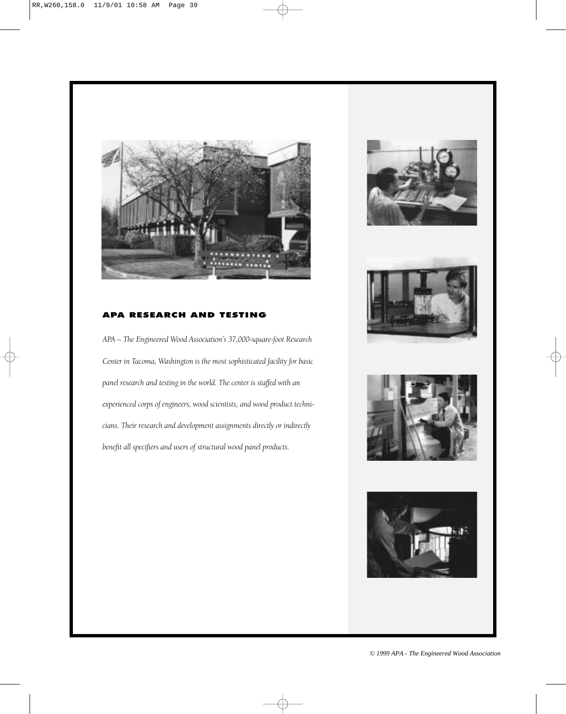

# **PA RESEARCH AND TESTING**

*APA – The Engineered Wood Association's 37,000-square-foot Research Center in Tacoma, Washington is the most sophisticated facility for basic panel research and testing in the world. The center is staffed with an experienced corps of engineers, wood scientists, and wood product technicians. Their research and development assignments directly or indirectly benefit all specifiers and users of structural wood panel products.*